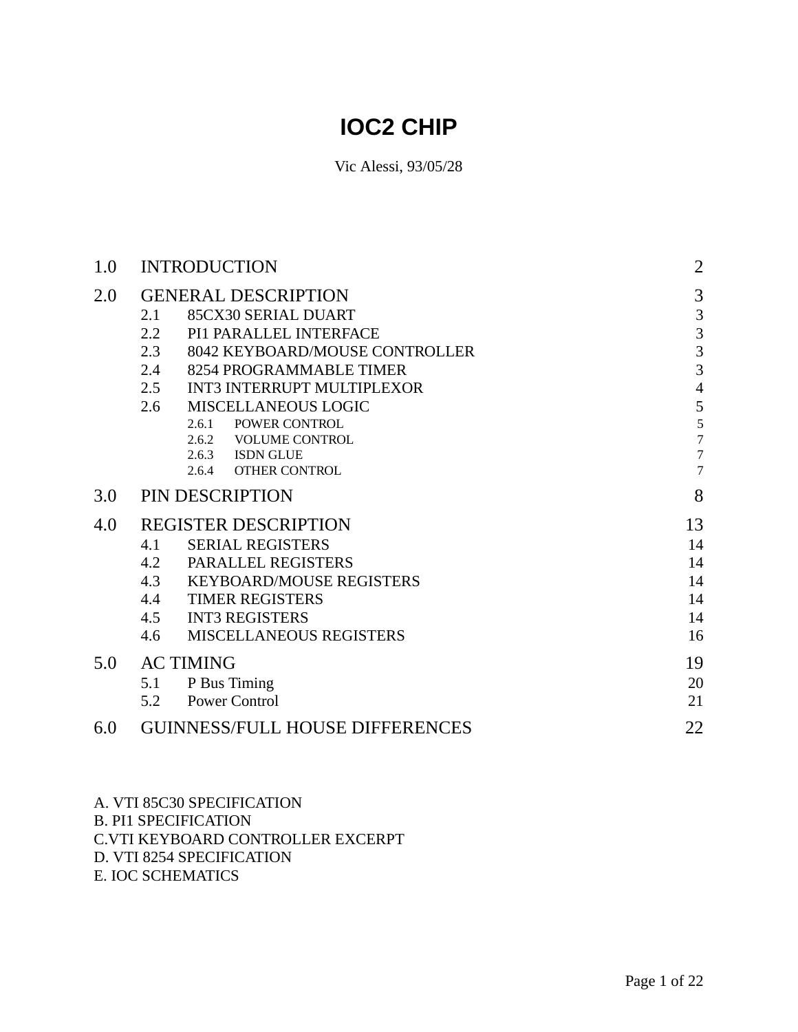# **IOC2 CHIP**

Vic Alessi, 93/05/28

| 1.0 |     | <b>INTRODUCTION</b>                              |                          |  |  |  |  |  |  |  |
|-----|-----|--------------------------------------------------|--------------------------|--|--|--|--|--|--|--|
| 2.0 |     | <b>GENERAL DESCRIPTION</b>                       | 3                        |  |  |  |  |  |  |  |
|     | 2.1 | 85CX30 SERIAL DUART                              |                          |  |  |  |  |  |  |  |
|     | 2.2 | PI1 PARALLEL INTERFACE                           | $\overline{3}$           |  |  |  |  |  |  |  |
|     | 2.3 | 8042 KEYBOARD/MOUSE CONTROLLER                   | $\overline{3}$           |  |  |  |  |  |  |  |
|     | 2.4 | 8254 PROGRAMMABLE TIMER                          | $\overline{3}$           |  |  |  |  |  |  |  |
|     | 2.5 | INT3 INTERRUPT MULTIPLEXOR                       | $\overline{4}$           |  |  |  |  |  |  |  |
|     | 2.6 | <b>MISCELLANEOUS LOGIC</b>                       | 5                        |  |  |  |  |  |  |  |
|     |     | POWER CONTROL<br>2.6.1                           | $rac{5}{7}$              |  |  |  |  |  |  |  |
|     |     | 2.6.2<br><b>VOLUME CONTROL</b>                   |                          |  |  |  |  |  |  |  |
|     |     | 2.6.3 ISDN GLUE<br><b>OTHER CONTROL</b><br>2.6.4 | $\tau$<br>$\overline{7}$ |  |  |  |  |  |  |  |
| 3.0 |     | PIN DESCRIPTION                                  | 8                        |  |  |  |  |  |  |  |
| 4.0 |     | <b>REGISTER DESCRIPTION</b>                      | 13                       |  |  |  |  |  |  |  |
|     | 4.1 | <b>SERIAL REGISTERS</b>                          | 14                       |  |  |  |  |  |  |  |
|     | 4.2 | PARALLEL REGISTERS                               | 14                       |  |  |  |  |  |  |  |
|     | 4.3 | <b>KEYBOARD/MOUSE REGISTERS</b>                  | 14                       |  |  |  |  |  |  |  |
|     | 4.4 | <b>TIMER REGISTERS</b>                           | 14                       |  |  |  |  |  |  |  |
|     | 4.5 | <b>INT3 REGISTERS</b>                            | 14                       |  |  |  |  |  |  |  |
|     | 4.6 | <b>MISCELLANEOUS REGISTERS</b>                   | 16                       |  |  |  |  |  |  |  |
| 5.0 |     | <b>AC TIMING</b>                                 | 19                       |  |  |  |  |  |  |  |
|     | 5.1 | P Bus Timing                                     | 20                       |  |  |  |  |  |  |  |
|     | 5.2 | <b>Power Control</b>                             | 21                       |  |  |  |  |  |  |  |
| 6.0 |     | <b>GUINNESS/FULL HOUSE DIFFERENCES</b>           | 22                       |  |  |  |  |  |  |  |
|     |     |                                                  |                          |  |  |  |  |  |  |  |

A. VTI 85C30 SPECIFICATION

B. PI1 SPECIFICATION

C.VTI KEYBOARD CONTROLLER EXCERPT

D. VTI 8254 SPECIFICATION

E. IOC SCHEMATICS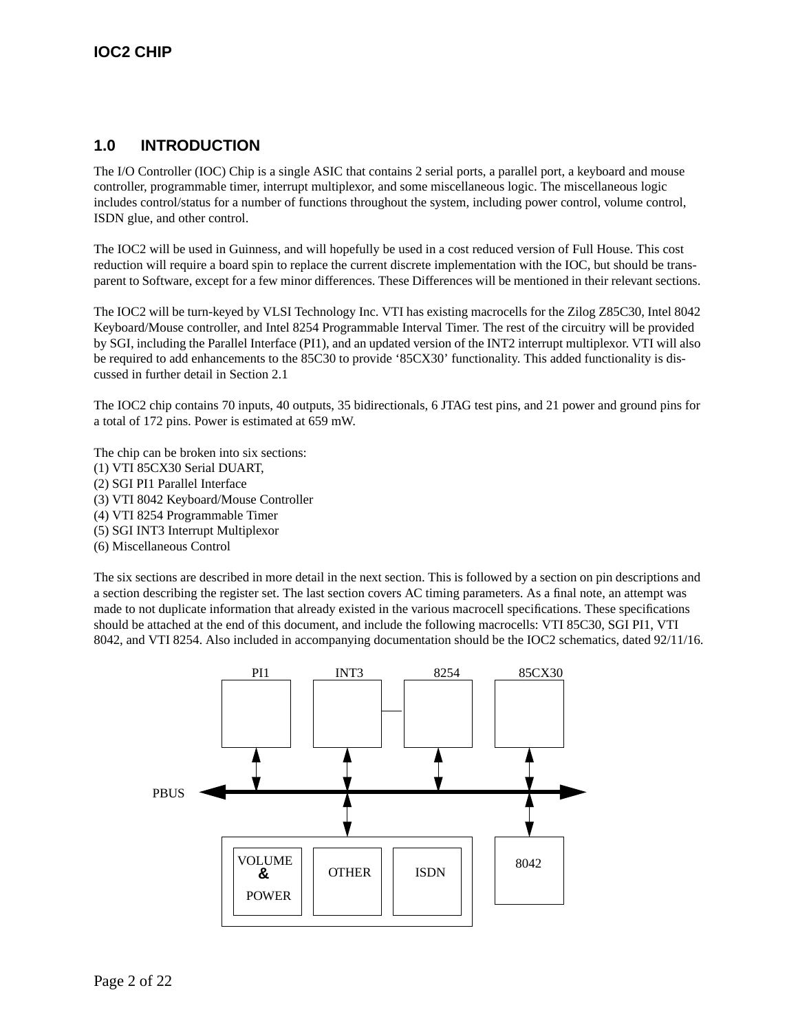# **1.0 INTRODUCTION**

The I/O Controller (IOC) Chip is a single ASIC that contains 2 serial ports, a parallel port, a keyboard and mouse controller, programmable timer, interrupt multiplexor, and some miscellaneous logic. The miscellaneous logic includes control/status for a number of functions throughout the system, including power control, volume control, ISDN glue, and other control.

The IOC2 will be used in Guinness, and will hopefully be used in a cost reduced version of Full House. This cost reduction will require a board spin to replace the current discrete implementation with the IOC, but should be transparent to Software, except for a few minor differences. These Differences will be mentioned in their relevant sections.

The IOC2 will be turn-keyed by VLSI Technology Inc. VTI has existing macrocells for the Zilog Z85C30, Intel 8042 Keyboard/Mouse controller, and Intel 8254 Programmable Interval Timer. The rest of the circuitry will be provided by SGI, including the Parallel Interface (PI1), and an updated version of the INT2 interrupt multiplexor. VTI will also be required to add enhancements to the 85C30 to provide '85CX30' functionality. This added functionality is discussed in further detail in Section 2.1

The IOC2 chip contains 70 inputs, 40 outputs, 35 bidirectionals, 6 JTAG test pins, and 21 power and ground pins for a total of 172 pins. Power is estimated at 659 mW.

The chip can be broken into six sections: (1) VTI 85CX30 Serial DUART, (2) SGI PI1 Parallel Interface (3) VTI 8042 Keyboard/Mouse Controller (4) VTI 8254 Programmable Timer (5) SGI INT3 Interrupt Multiplexor

(6) Miscellaneous Control

The six sections are described in more detail in the next section. This is followed by a section on pin descriptions and a section describing the register set. The last section covers AC timing parameters. As a final note, an attempt was made to not duplicate information that already existed in the various macrocell specifications. These specifications should be attached at the end of this document, and include the following macrocells: VTI 85C30, SGI PI1, VTI 8042, and VTI 8254. Also included in accompanying documentation should be the IOC2 schematics, dated 92/11/16.

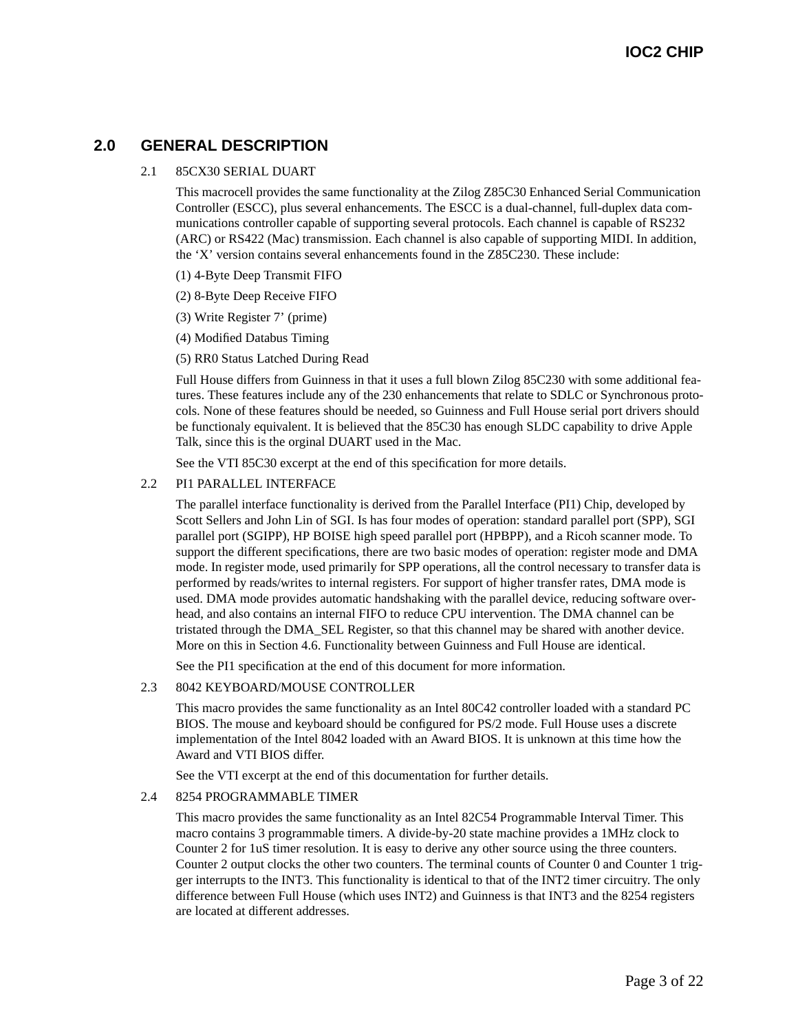# **2.0 GENERAL DESCRIPTION**

#### 2.1 85CX30 SERIAL DUART

This macrocell provides the same functionality at the Zilog Z85C30 Enhanced Serial Communication Controller (ESCC), plus several enhancements. The ESCC is a dual-channel, full-duplex data communications controller capable of supporting several protocols. Each channel is capable of RS232 (ARC) or RS422 (Mac) transmission. Each channel is also capable of supporting MIDI. In addition, the 'X' version contains several enhancements found in the Z85C230. These include:

- (1) 4-Byte Deep Transmit FIFO
- (2) 8-Byte Deep Receive FIFO
- (3) Write Register 7' (prime)
- (4) Modified Databus Timing
- (5) RR0 Status Latched During Read

Full House differs from Guinness in that it uses a full blown Zilog 85C230 with some additional features. These features include any of the 230 enhancements that relate to SDLC or Synchronous protocols. None of these features should be needed, so Guinness and Full House serial port drivers should be functionaly equivalent. It is believed that the 85C30 has enough SLDC capability to drive Apple Talk, since this is the orginal DUART used in the Mac.

See the VTI 85C30 excerpt at the end of this specification for more details.

#### 2.2 PI1 PARALLEL INTERFACE

The parallel interface functionality is derived from the Parallel Interface (PI1) Chip, developed by Scott Sellers and John Lin of SGI. Is has four modes of operation: standard parallel port (SPP), SGI parallel port (SGIPP), HP BOISE high speed parallel port (HPBPP), and a Ricoh scanner mode. To support the different specifications, there are two basic modes of operation: register mode and DMA mode. In register mode, used primarily for SPP operations, all the control necessary to transfer data is performed by reads/writes to internal registers. For support of higher transfer rates, DMA mode is used. DMA mode provides automatic handshaking with the parallel device, reducing software overhead, and also contains an internal FIFO to reduce CPU intervention. The DMA channel can be tristated through the DMA\_SEL Register, so that this channel may be shared with another device. More on this in Section 4.6. Functionality between Guinness and Full House are identical.

See the PI1 specification at the end of this document for more information.

#### 2.3 8042 KEYBOARD/MOUSE CONTROLLER

This macro provides the same functionality as an Intel 80C42 controller loaded with a standard PC BIOS. The mouse and keyboard should be configured for PS/2 mode. Full House uses a discrete implementation of the Intel 8042 loaded with an Award BIOS. It is unknown at this time how the Award and VTI BIOS differ.

See the VTI excerpt at the end of this documentation for further details.

#### 2.4 8254 PROGRAMMABLE TIMER

This macro provides the same functionality as an Intel 82C54 Programmable Interval Timer. This macro contains 3 programmable timers. A divide-by-20 state machine provides a 1MHz clock to Counter 2 for 1uS timer resolution. It is easy to derive any other source using the three counters. Counter 2 output clocks the other two counters. The terminal counts of Counter 0 and Counter 1 trigger interrupts to the INT3. This functionality is identical to that of the INT2 timer circuitry. The only difference between Full House (which uses INT2) and Guinness is that INT3 and the 8254 registers are located at different addresses.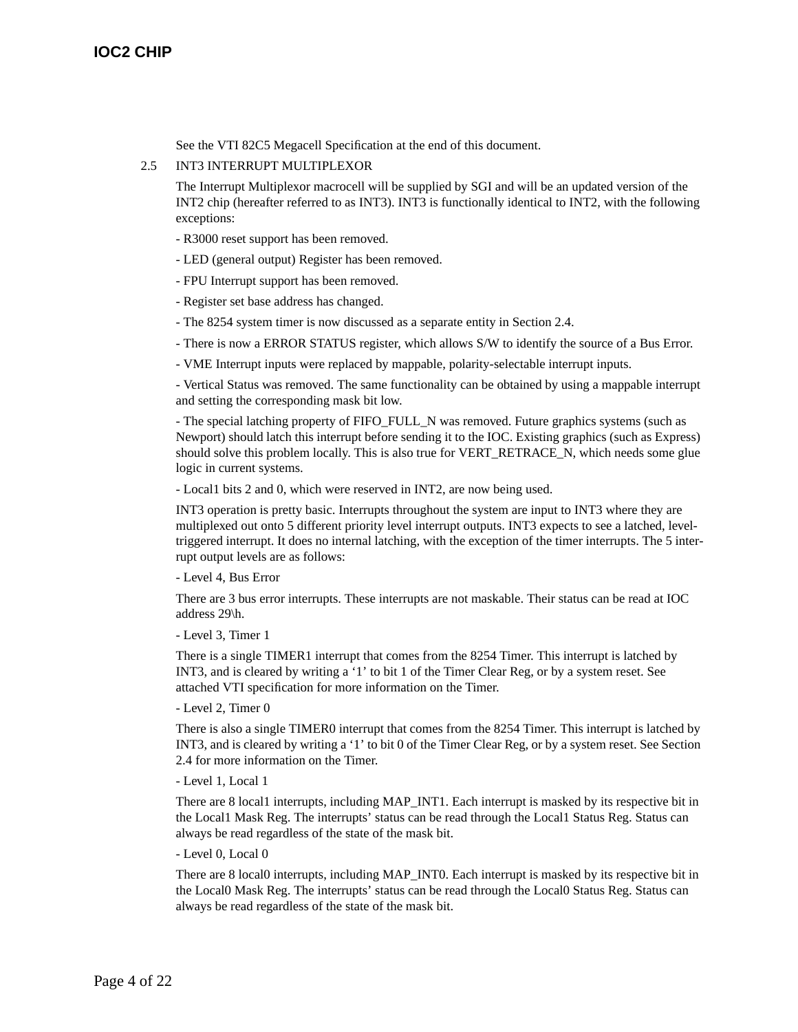See the VTI 82C5 Megacell Specification at the end of this document.

#### 2.5 INT3 INTERRUPT MULTIPLEXOR

The Interrupt Multiplexor macrocell will be supplied by SGI and will be an updated version of the INT2 chip (hereafter referred to as INT3). INT3 is functionally identical to INT2, with the following exceptions:

- R3000 reset support has been removed.
- LED (general output) Register has been removed.
- FPU Interrupt support has been removed.
- Register set base address has changed.
- The 8254 system timer is now discussed as a separate entity in Section 2.4.
- There is now a ERROR STATUS register, which allows S/W to identify the source of a Bus Error.
- VME Interrupt inputs were replaced by mappable, polarity-selectable interrupt inputs.

- Vertical Status was removed. The same functionality can be obtained by using a mappable interrupt and setting the corresponding mask bit low.

- The special latching property of FIFO\_FULL\_N was removed. Future graphics systems (such as Newport) should latch this interrupt before sending it to the IOC. Existing graphics (such as Express) should solve this problem locally. This is also true for VERT\_RETRACE\_N, which needs some glue logic in current systems.

- Local1 bits 2 and 0, which were reserved in INT2, are now being used.

INT3 operation is pretty basic. Interrupts throughout the system are input to INT3 where they are multiplexed out onto 5 different priority level interrupt outputs. INT3 expects to see a latched, leveltriggered interrupt. It does no internal latching, with the exception of the timer interrupts. The 5 interrupt output levels are as follows:

- Level 4, Bus Error

There are 3 bus error interrupts. These interrupts are not maskable. Their status can be read at IOC address 29\h.

- Level 3, Timer 1

There is a single TIMER1 interrupt that comes from the 8254 Timer. This interrupt is latched by INT3, and is cleared by writing a '1' to bit 1 of the Timer Clear Reg, or by a system reset. See attached VTI specification for more information on the Timer.

- Level 2, Timer 0

There is also a single TIMER0 interrupt that comes from the 8254 Timer. This interrupt is latched by INT3, and is cleared by writing a '1' to bit 0 of the Timer Clear Reg, or by a system reset. See Section 2.4 for more information on the Timer.

- Level 1, Local 1

There are 8 local1 interrupts, including MAP\_INT1. Each interrupt is masked by its respective bit in the Local1 Mask Reg. The interrupts' status can be read through the Local1 Status Reg. Status can always be read regardless of the state of the mask bit.

- Level 0, Local 0

There are 8 local0 interrupts, including MAP\_INT0. Each interrupt is masked by its respective bit in the Local0 Mask Reg. The interrupts' status can be read through the Local0 Status Reg. Status can always be read regardless of the state of the mask bit.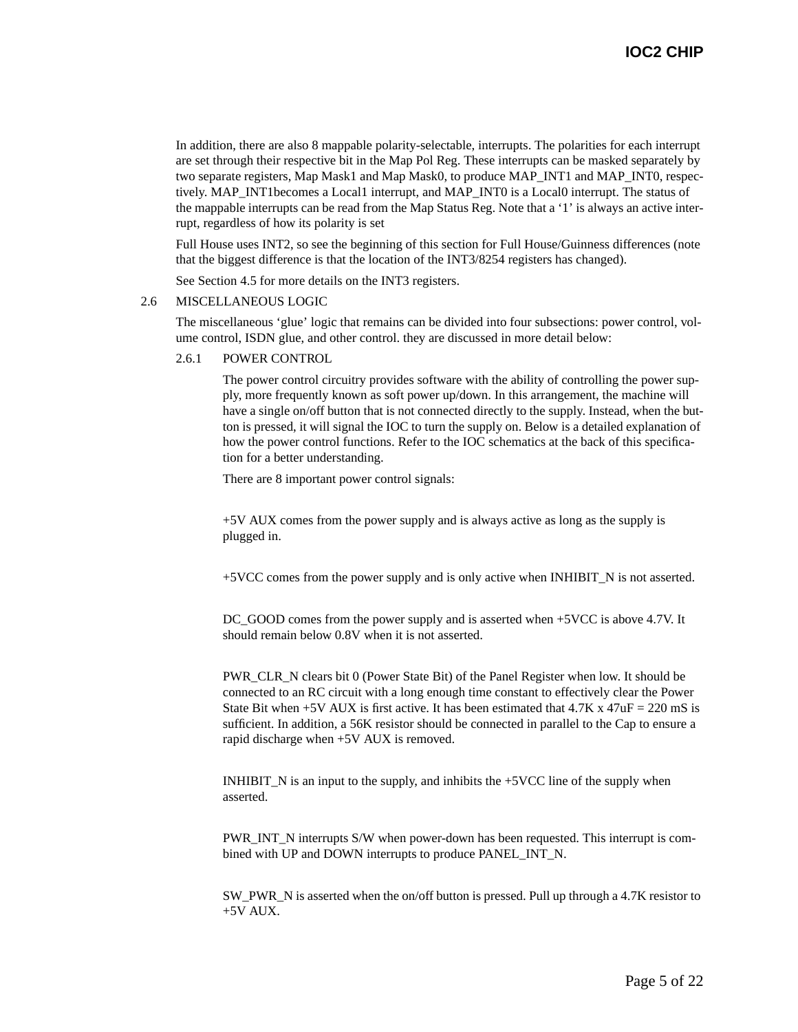In addition, there are also 8 mappable polarity-selectable, interrupts. The polarities for each interrupt are set through their respective bit in the Map Pol Reg. These interrupts can be masked separately by two separate registers, Map Mask1 and Map Mask0, to produce MAP\_INT1 and MAP\_INT0, respectively. MAP\_INT1becomes a Local1 interrupt, and MAP\_INT0 is a Local0 interrupt. The status of the mappable interrupts can be read from the Map Status Reg. Note that a '1' is always an active interrupt, regardless of how its polarity is set

Full House uses INT2, so see the beginning of this section for Full House/Guinness differences (note that the biggest difference is that the location of the INT3/8254 registers has changed).

See Section 4.5 for more details on the INT3 registers.

#### 2.6 MISCELLANEOUS LOGIC

The miscellaneous 'glue' logic that remains can be divided into four subsections: power control, volume control, ISDN glue, and other control. they are discussed in more detail below:

#### 2.6.1 POWER CONTROL

The power control circuitry provides software with the ability of controlling the power supply, more frequently known as soft power up/down. In this arrangement, the machine will have a single on/off button that is not connected directly to the supply. Instead, when the button is pressed, it will signal the IOC to turn the supply on. Below is a detailed explanation of how the power control functions. Refer to the IOC schematics at the back of this specification for a better understanding.

There are 8 important power control signals:

+5V AUX comes from the power supply and is always active as long as the supply is plugged in.

+5VCC comes from the power supply and is only active when INHIBIT\_N is not asserted.

DC GOOD comes from the power supply and is asserted when +5VCC is above 4.7V. It should remain below 0.8V when it is not asserted.

PWR\_CLR\_N clears bit 0 (Power State Bit) of the Panel Register when low. It should be connected to an RC circuit with a long enough time constant to effectively clear the Power State Bit when  $+5V$  AUX is first active. It has been estimated that  $4.7K$  x  $47uF = 220$  mS is sufficient. In addition, a 56K resistor should be connected in parallel to the Cap to ensure a rapid discharge when +5V AUX is removed.

INHIBIT\_N is an input to the supply, and inhibits the +5VCC line of the supply when asserted.

PWR\_INT\_N interrupts S/W when power-down has been requested. This interrupt is combined with UP and DOWN interrupts to produce PANEL\_INT\_N.

SW\_PWR\_N is asserted when the on/off button is pressed. Pull up through a 4.7K resistor to +5V AUX.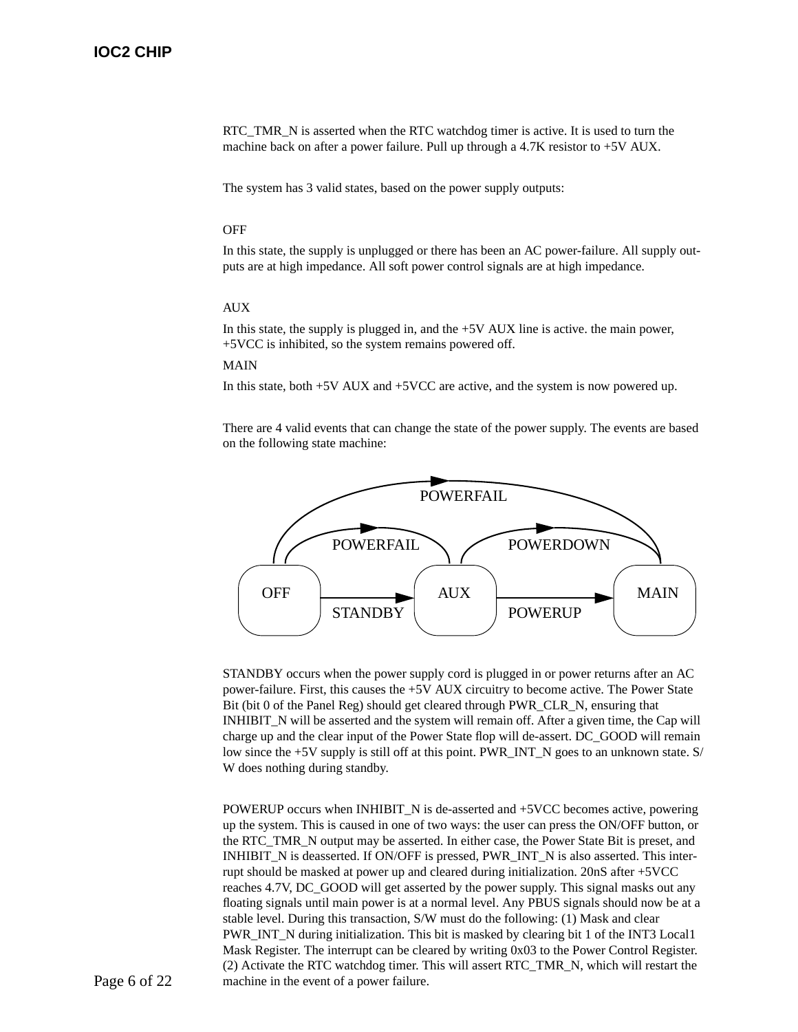RTC\_TMR\_N is asserted when the RTC watchdog timer is active. It is used to turn the machine back on after a power failure. Pull up through a  $4.7K$  resistor to  $+5V$  AUX.

The system has 3 valid states, based on the power supply outputs:

#### **OFF**

In this state, the supply is unplugged or there has been an AC power-failure. All supply outputs are at high impedance. All soft power control signals are at high impedance.

#### AUX

In this state, the supply is plugged in, and the +5V AUX line is active. the main power, +5VCC is inhibited, so the system remains powered off.

#### MAIN

In this state, both +5V AUX and +5VCC are active, and the system is now powered up.

There are 4 valid events that can change the state of the power supply. The events are based on the following state machine:



STANDBY occurs when the power supply cord is plugged in or power returns after an AC power-failure. First, this causes the +5V AUX circuitry to become active. The Power State Bit (bit 0 of the Panel Reg) should get cleared through PWR\_CLR\_N, ensuring that INHIBIT\_N will be asserted and the system will remain off. After a given time, the Cap will charge up and the clear input of the Power State flop will de-assert. DC\_GOOD will remain low since the +5V supply is still off at this point. PWR\_INT\_N goes to an unknown state. S/ W does nothing during standby.

POWERUP occurs when INHIBIT\_N is de-asserted and +5VCC becomes active, powering up the system. This is caused in one of two ways: the user can press the ON/OFF button, or the RTC\_TMR\_N output may be asserted. In either case, the Power State Bit is preset, and INHIBIT\_N is deasserted. If ON/OFF is pressed, PWR\_INT\_N is also asserted. This interrupt should be masked at power up and cleared during initialization. 20nS after +5VCC reaches 4.7V, DC\_GOOD will get asserted by the power supply. This signal masks out any floating signals until main power is at a normal level. Any PBUS signals should now be at a stable level. During this transaction, S/W must do the following: (1) Mask and clear PWR\_INT\_N during initialization. This bit is masked by clearing bit 1 of the INT3 Local1 Mask Register. The interrupt can be cleared by writing 0x03 to the Power Control Register. (2) Activate the RTC watchdog timer. This will assert RTC\_TMR\_N, which will restart the machine in the event of a power failure.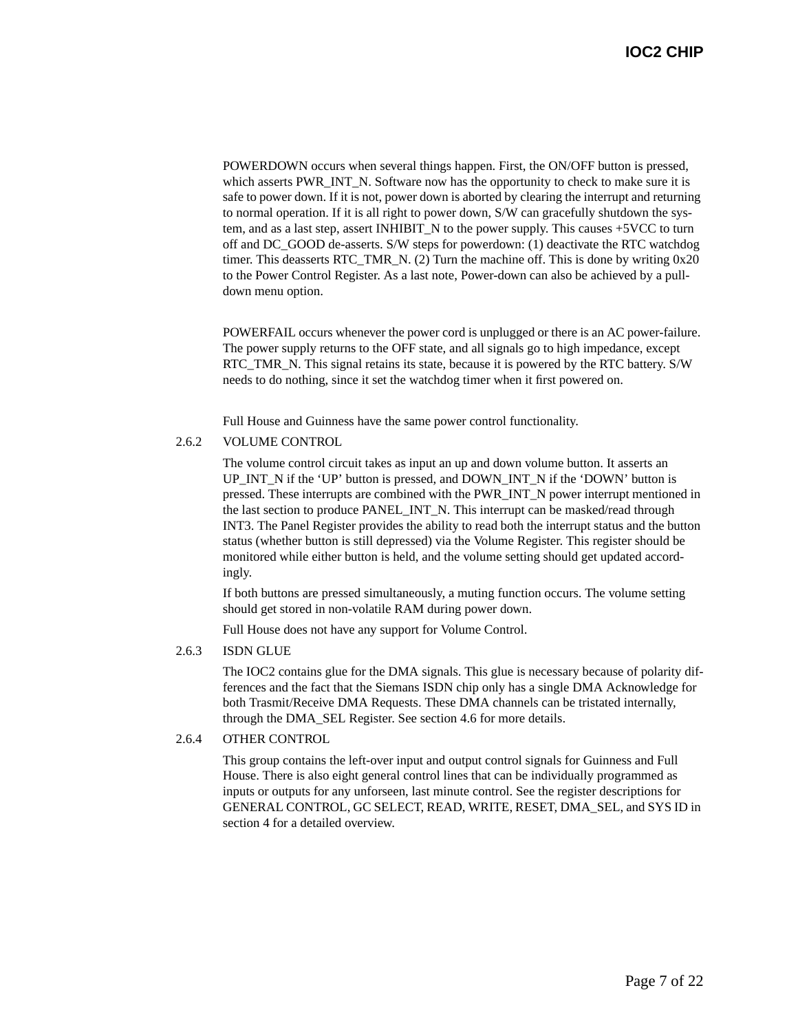POWERDOWN occurs when several things happen. First, the ON/OFF button is pressed, which asserts PWR\_INT\_N. Software now has the opportunity to check to make sure it is safe to power down. If it is not, power down is aborted by clearing the interrupt and returning to normal operation. If it is all right to power down, S/W can gracefully shutdown the system, and as a last step, assert INHIBIT\_N to the power supply. This causes +5VCC to turn off and DC\_GOOD de-asserts. S/W steps for powerdown: (1) deactivate the RTC watchdog timer. This deasserts RTC TMR N.  $(2)$  Turn the machine off. This is done by writing 0x20 to the Power Control Register. As a last note, Power-down can also be achieved by a pulldown menu option.

POWERFAIL occurs whenever the power cord is unplugged or there is an AC power-failure. The power supply returns to the OFF state, and all signals go to high impedance, except RTC TMR<sub>N</sub>. This signal retains its state, because it is powered by the RTC battery. S/W needs to do nothing, since it set the watchdog timer when it first powered on.

Full House and Guinness have the same power control functionality.

#### 2.6.2 VOLUME CONTROL

The volume control circuit takes as input an up and down volume button. It asserts an UP\_INT\_N if the 'UP' button is pressed, and DOWN\_INT\_N if the 'DOWN' button is pressed. These interrupts are combined with the PWR\_INT\_N power interrupt mentioned in the last section to produce PANEL\_INT\_N. This interrupt can be masked/read through INT3. The Panel Register provides the ability to read both the interrupt status and the button status (whether button is still depressed) via the Volume Register. This register should be monitored while either button is held, and the volume setting should get updated accordingly.

If both buttons are pressed simultaneously, a muting function occurs. The volume setting should get stored in non-volatile RAM during power down.

Full House does not have any support for Volume Control.

#### 2.6.3 ISDN GLUE

The IOC2 contains glue for the DMA signals. This glue is necessary because of polarity differences and the fact that the Siemans ISDN chip only has a single DMA Acknowledge for both Trasmit/Receive DMA Requests. These DMA channels can be tristated internally, through the DMA\_SEL Register. See section 4.6 for more details.

#### 2.6.4 OTHER CONTROL

This group contains the left-over input and output control signals for Guinness and Full House. There is also eight general control lines that can be individually programmed as inputs or outputs for any unforseen, last minute control. See the register descriptions for GENERAL CONTROL, GC SELECT, READ, WRITE, RESET, DMA\_SEL, and SYS ID in section 4 for a detailed overview.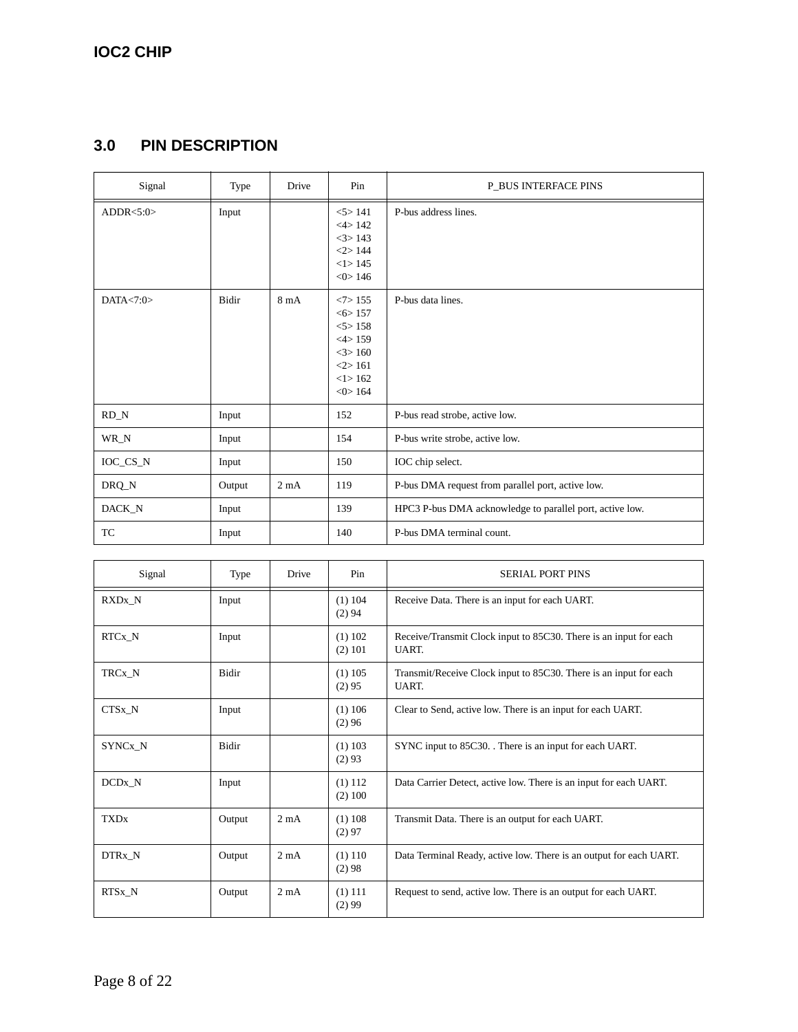# **3.0 PIN DESCRIPTION**

| Signal       | Type         | Drive          | Pin                                                                                      | <b>P_BUS INTERFACE PINS</b>                              |
|--------------|--------------|----------------|------------------------------------------------------------------------------------------|----------------------------------------------------------|
| ADDR < 5:0>  | Input        |                | 5 > 141<br><4>142<br>$<$ 3> 143<br><2>144<br><1>145<br>$<0$ 146                          | P-bus address lines.                                     |
| DATA $< 7:0$ | <b>Bidir</b> | $8 \text{ mA}$ | $<7$ 155<br>< 6 > 157<br>5 > 158<br><4>159<br>$<3$ > 160<br><2>161<br><1>162<br>$<0$ 164 | P-bus data lines.                                        |
| $RD_N$       | Input        |                | 152                                                                                      | P-bus read strobe, active low.                           |
| WR_N         | Input        |                | 154                                                                                      | P-bus write strobe, active low.                          |
| IOC_CS_N     | Input        |                | 150                                                                                      | IOC chip select.                                         |
| DRQ_N        | Output       | $2 \text{ mA}$ | 119                                                                                      | P-bus DMA request from parallel port, active low.        |
| DACK_N       | Input        |                | 139                                                                                      | HPC3 P-bus DMA acknowledge to parallel port, active low. |
| TC           | Input        |                | 140                                                                                      | P-bus DMA terminal count.                                |

| Signal             | Type         | <b>Drive</b>     | Pin                   | <b>SERIAL PORT PINS</b>                                                    |
|--------------------|--------------|------------------|-----------------------|----------------------------------------------------------------------------|
| RXDx_N             | Input        |                  | $(1)$ 104<br>(2) 94   | Receive Data. There is an input for each UART.                             |
| RTCx_N             | Input        |                  | (1) 102<br>(2) 101    | Receive/Transmit Clock input to 85C30. There is an input for each<br>UART. |
| TRCx N             | <b>Bidir</b> |                  | $(1)$ 105<br>(2)95    | Transmit/Receive Clock input to 85C30. There is an input for each<br>UART. |
| CTSx N             | Input        |                  | $(1)$ 106<br>(2)96    | Clear to Send, active low. There is an input for each UART.                |
| SYNCx N            | <b>Bidir</b> |                  | $(1)$ 103<br>(2)93    | SYNC input to 85C30. There is an input for each UART.                      |
| DCD <sub>x</sub> N | Input        |                  | (1) 112<br>$(2)$ 100  | Data Carrier Detect, active low. There is an input for each UART.          |
| <b>TXDx</b>        | Output       | 2mA              | (1) 108<br>(2)97      | Transmit Data. There is an output for each UART.                           |
| DTRx N             | Output       | 2mA              | (1) 110<br>(2)98      | Data Terminal Ready, active low. There is an output for each UART.         |
| RTSx N             | Output       | 2 <sub>m</sub> A | $(1)$ 111<br>$(2)$ 99 | Request to send, active low. There is an output for each UART.             |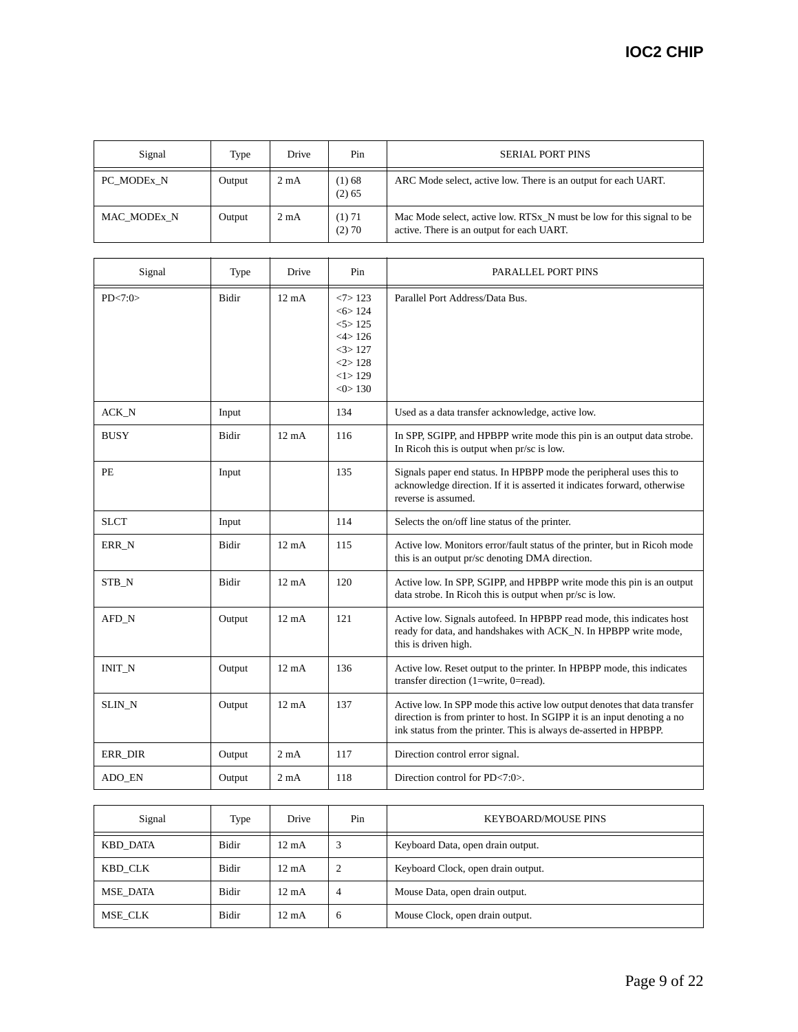| Signal      | Type   | Drive          | Pin              | <b>SERIAL PORT PINS</b>                                                                                            |
|-------------|--------|----------------|------------------|--------------------------------------------------------------------------------------------------------------------|
| PC MODEX N  | Output | $2 \text{ mA}$ | (1) 68<br>(2) 65 | ARC Mode select, active low. There is an output for each UART.                                                     |
| MAC MODEx N | Output | $2 \text{ mA}$ | (1) 71<br>(2) 70 | Mac Mode select, active low. RTSx_N must be low for this signal to be<br>active. There is an output for each UART. |

| Signal      | Type         | Drive           | Pin                                                                                  | PARALLEL PORT PINS                                                                                                                                                                                                         |
|-------------|--------------|-----------------|--------------------------------------------------------------------------------------|----------------------------------------------------------------------------------------------------------------------------------------------------------------------------------------------------------------------------|
| PD < 7:0>   | <b>Bidir</b> | $12 \text{ mA}$ | $<7$ 123<br>< 6 > 124<br>5 > 125<br><4>126<br>3 > 127<br>2 > 128<br><1>129<br><0>130 | Parallel Port Address/Data Bus.                                                                                                                                                                                            |
| ACK_N       | Input        |                 | 134                                                                                  | Used as a data transfer acknowledge, active low.                                                                                                                                                                           |
| <b>BUSY</b> | Bidir        | $12 \text{ mA}$ | 116                                                                                  | In SPP, SGIPP, and HPBPP write mode this pin is an output data strobe.<br>In Ricoh this is output when pr/sc is low.                                                                                                       |
| PE          | Input        |                 | 135                                                                                  | Signals paper end status. In HPBPP mode the peripheral uses this to<br>acknowledge direction. If it is asserted it indicates forward, otherwise<br>reverse is assumed.                                                     |
| <b>SLCT</b> | Input        |                 | 114                                                                                  | Selects the on/off line status of the printer.                                                                                                                                                                             |
| ERR_N       | <b>Bidir</b> | $12 \text{ mA}$ | 115                                                                                  | Active low. Monitors error/fault status of the printer, but in Ricoh mode<br>this is an output pr/sc denoting DMA direction.                                                                                               |
| STB_N       | Bidir        | $12 \text{ mA}$ | 120                                                                                  | Active low. In SPP, SGIPP, and HPBPP write mode this pin is an output<br>data strobe. In Ricoh this is output when pr/sc is low.                                                                                           |
| AFD_N       | Output       | $12 \text{ mA}$ | 121                                                                                  | Active low. Signals autofeed. In HPBPP read mode, this indicates host<br>ready for data, and handshakes with ACK_N. In HPBPP write mode,<br>this is driven high.                                                           |
| INIT_N      | Output       | $12 \text{ mA}$ | 136                                                                                  | Active low. Reset output to the printer. In HPBPP mode, this indicates<br>transfer direction $(1=write, 0=read)$ .                                                                                                         |
| SLIN_N      | Output       | $12 \text{ mA}$ | 137                                                                                  | Active low. In SPP mode this active low output denotes that data transfer<br>direction is from printer to host. In SGIPP it is an input denoting a no<br>ink status from the printer. This is always de-asserted in HPBPP. |
| ERR_DIR     | Output       | $2 \text{ mA}$  | 117                                                                                  | Direction control error signal.                                                                                                                                                                                            |
| ADO_EN      | Output       | $2 \text{ mA}$  | 118                                                                                  | Direction control for PD<7:0>.                                                                                                                                                                                             |

| Signal          | Type         | Drive           | Pin          | <b>KEYBOARD/MOUSE PINS</b>         |
|-----------------|--------------|-----------------|--------------|------------------------------------|
| <b>KBD DATA</b> | <b>Bidir</b> | $12 \text{ mA}$ |              | Keyboard Data, open drain output.  |
| KBD CLK         | <b>Bidir</b> | $12 \text{ mA}$ |              | Keyboard Clock, open drain output. |
| MSE DATA        | <b>Bidir</b> | $12 \text{ mA}$ | 4            | Mouse Data, open drain output.     |
| MSE CLK         | <b>Bidir</b> | $12 \text{ mA}$ | <sub>6</sub> | Mouse Clock, open drain output.    |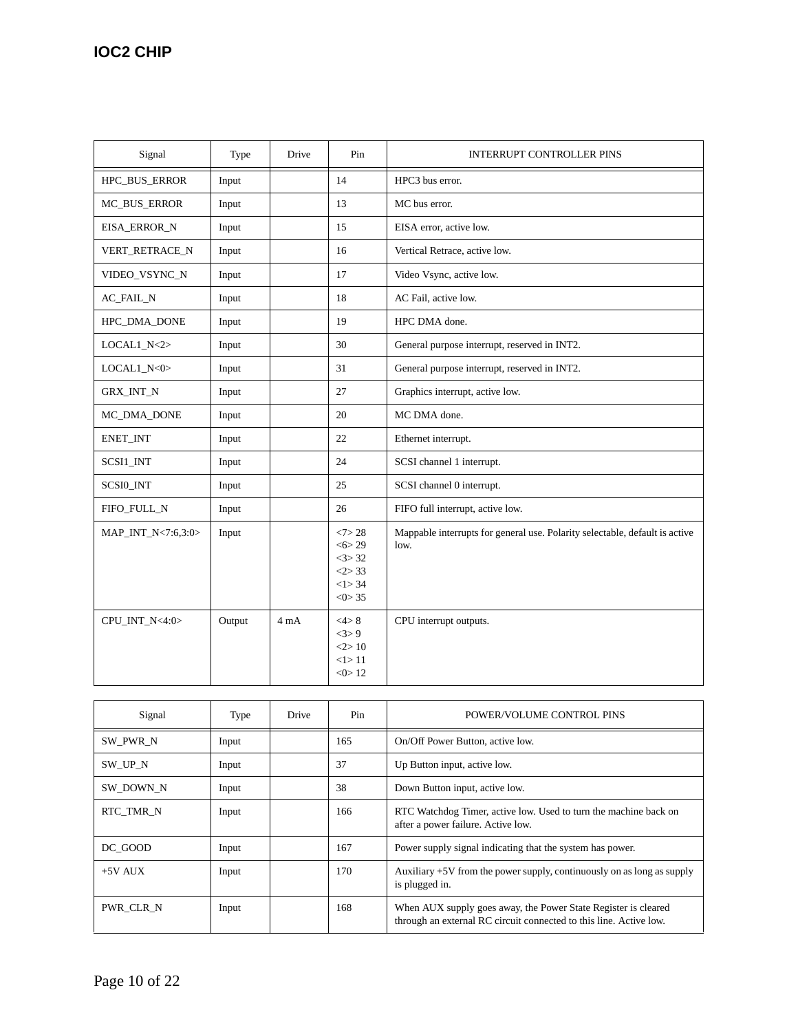| Signal              | Type   | Drive | Pin                                                   | <b>INTERRUPT CONTROLLER PINS</b>                                                    |
|---------------------|--------|-------|-------------------------------------------------------|-------------------------------------------------------------------------------------|
| HPC_BUS_ERROR       | Input  |       | 14                                                    | HPC3 bus error.                                                                     |
| <b>MC_BUS_ERROR</b> | Input  |       | 13                                                    | MC bus error.                                                                       |
| EISA_ERROR_N        | Input  |       | 15                                                    | EISA error, active low.                                                             |
| VERT_RETRACE_N      | Input  |       | 16                                                    | Vertical Retrace, active low.                                                       |
| VIDEO_VSYNC_N       | Input  |       | 17                                                    | Video Vsync, active low.                                                            |
| AC_FAIL_N           | Input  |       | 18                                                    | AC Fail, active low.                                                                |
| HPC_DMA_DONE        | Input  |       | 19                                                    | HPC DMA done.                                                                       |
| $LOCAL1_N <2>$      | Input  |       | 30                                                    | General purpose interrupt, reserved in INT2.                                        |
| $LOCAL1_N <0>$      | Input  |       | 31                                                    | General purpose interrupt, reserved in INT2.                                        |
| <b>GRX_INT_N</b>    | Input  |       | 27                                                    | Graphics interrupt, active low.                                                     |
| MC_DMA_DONE         | Input  |       | 20                                                    | MC DMA done.                                                                        |
| ENET_INT            | Input  |       | 22                                                    | Ethernet interrupt.                                                                 |
| SCSI1_INT           | Input  |       | 24                                                    | SCSI channel 1 interrupt.                                                           |
| SCSI0_INT           | Input  |       | 25                                                    | SCSI channel 0 interrupt.                                                           |
| FIFO_FULL_N         | Input  |       | 26                                                    | FIFO full interrupt, active low.                                                    |
| MAP_INT_N<7:6,3:0>  | Input  |       | <7>28<br>< 6 > 29<br><3>32<br><2>33<br><1>34<br><0>35 | Mappable interrupts for general use. Polarity selectable, default is active<br>low. |
| CPU_INT_N<4:0>      | Output | 4mA   | <4>8<br><3>9<br><2>10<br><1>11<br>< 0 > 12            | CPU interrupt outputs.                                                              |

| Signal    | Type  | Drive | Pin | POWER/VOLUME CONTROL PINS                                                                                                            |
|-----------|-------|-------|-----|--------------------------------------------------------------------------------------------------------------------------------------|
| SW PWR N  | Input |       | 165 | On/Off Power Button, active low.                                                                                                     |
| SW UP N   | Input |       | 37  | Up Button input, active low.                                                                                                         |
| SW DOWN N | Input |       | 38  | Down Button input, active low.                                                                                                       |
| RTC TMR N | Input |       | 166 | RTC Watchdog Timer, active low. Used to turn the machine back on<br>after a power failure. Active low.                               |
| DC GOOD   | Input |       | 167 | Power supply signal indicating that the system has power.                                                                            |
| $+5V$ AUX | Input |       | 170 | Auxiliary $+5V$ from the power supply, continuously on as long as supply<br>is plugged in.                                           |
| PWR CLR N | Input |       | 168 | When AUX supply goes away, the Power State Register is cleared<br>through an external RC circuit connected to this line. Active low. |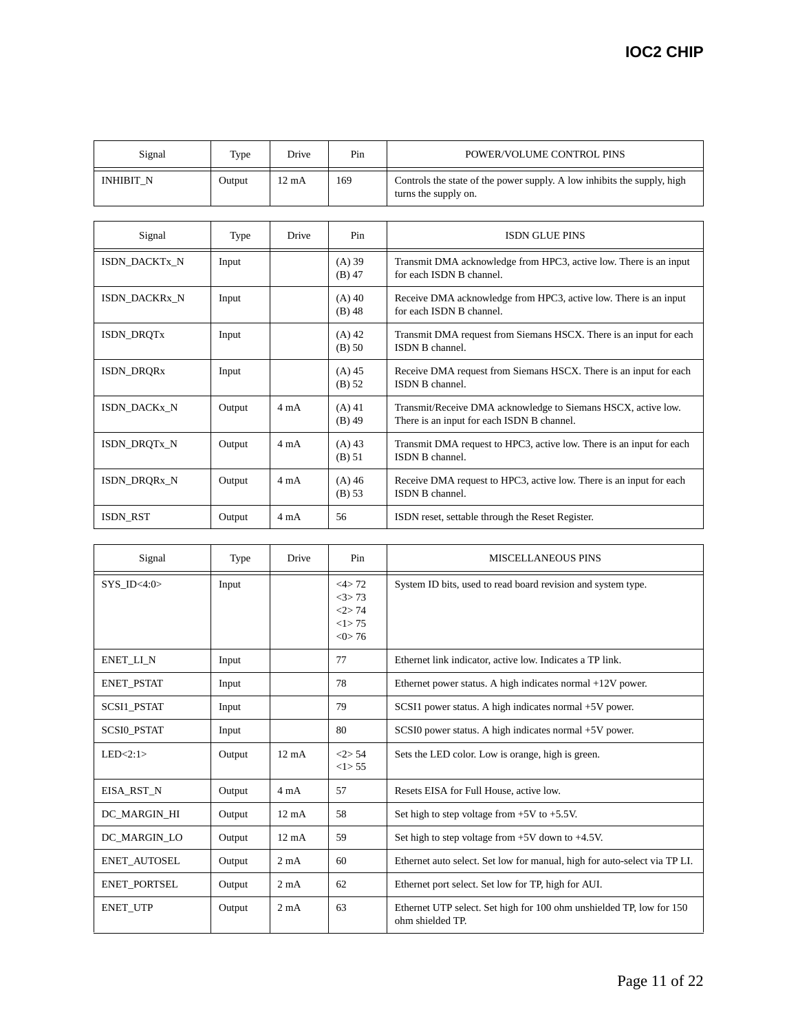| Signal           | Type   | Drive | Pin | POWER/VOLUME CONTROL PINS                                                                       |
|------------------|--------|-------|-----|-------------------------------------------------------------------------------------------------|
| <b>INHIBIT N</b> | Output | 12 mA | 169 | Controls the state of the power supply. A low inhibits the supply, high<br>turns the supply on. |

| Signal            | Type   | Drive          | Pin                  | <b>ISDN GLUE PINS</b>                                                                                       |
|-------------------|--------|----------------|----------------------|-------------------------------------------------------------------------------------------------------------|
| ISDN_DACKTx_N     | Input  |                | $(A)$ 39<br>$(B)$ 47 | Transmit DMA acknowledge from HPC3, active low. There is an input<br>for each ISDN B channel.               |
| ISDN_DACKRx_N     | Input  |                | $(A)$ 40<br>$(B)$ 48 | Receive DMA acknowledge from HPC3, active low. There is an input<br>for each ISDN B channel.                |
| ISDN_DRQTx        | Input  |                | $(A)$ 42<br>$(B)$ 50 | Transmit DMA request from Siemans HSCX. There is an input for each<br>ISDN B channel.                       |
| <b>ISDN_DRQRx</b> | Input  |                | $(A)$ 45<br>(B) 52   | Receive DMA request from Siemans HSCX. There is an input for each<br>ISDN B channel.                        |
| ISDN DACKx N      | Output | $4 \text{ mA}$ | $(A)$ 41<br>$(B)$ 49 | Transmit/Receive DMA acknowledge to Siemans HSCX, active low.<br>There is an input for each ISDN B channel. |
| ISDN_DRQTx_N      | Output | $4 \text{ mA}$ | $(A)$ 43<br>$(B)$ 51 | Transmit DMA request to HPC3, active low. There is an input for each<br>ISDN B channel.                     |
| ISDN_DRQRx_N      | Output | $4 \text{ mA}$ | $(A)$ 46<br>(B) 53   | Receive DMA request to HPC3, active low. There is an input for each<br>ISDN B channel.                      |
| <b>ISDN RST</b>   | Output | $4 \text{ mA}$ | 56                   | ISDN reset, settable through the Reset Register.                                                            |

| Signal              | Type   | Drive           | Pin                                                  | <b>MISCELLANEOUS PINS</b>                                                                |
|---------------------|--------|-----------------|------------------------------------------------------|------------------------------------------------------------------------------------------|
| SYS ID<4:0>         | Input  |                 | $<4$ >72<br>3 > 73<br><2>74<br>$<1$ > 75<br>< 0 > 76 | System ID bits, used to read board revision and system type.                             |
| ENET_LI_N           | Input  |                 | 77                                                   | Ethernet link indicator, active low. Indicates a TP link.                                |
| <b>ENET_PSTAT</b>   | Input  |                 | 78                                                   | Ethernet power status. A high indicates normal $+12V$ power.                             |
| SCSI1_PSTAT         | Input  |                 | 79                                                   | SCSI1 power status. A high indicates normal +5V power.                                   |
| <b>SCSIO PSTAT</b>  | Input  |                 | 80                                                   | SCSI0 power status. A high indicates normal +5V power.                                   |
| LED < 2:1>          | Output | $12 \text{ mA}$ | <2>54<br><1>55                                       | Sets the LED color. Low is orange, high is green.                                        |
| EISA_RST_N          | Output | $4 \text{ mA}$  | 57                                                   | Resets EISA for Full House, active low.                                                  |
| DC MARGIN HI        | Output | $12 \text{ mA}$ | 58                                                   | Set high to step voltage from $+5V$ to $+5.5V$ .                                         |
| DC MARGIN LO        | Output | $12 \text{ mA}$ | 59                                                   | Set high to step voltage from $+5V$ down to $+4.5V$ .                                    |
| <b>ENET AUTOSEL</b> | Output | $2 \text{ mA}$  | 60                                                   | Ethernet auto select. Set low for manual, high for auto-select via TP LI.                |
| ENET_PORTSEL        | Output | $2 \text{ mA}$  | 62                                                   | Ethernet port select. Set low for TP, high for AUI.                                      |
| <b>ENET_UTP</b>     | Output | $2 \text{ mA}$  | 63                                                   | Ethernet UTP select. Set high for 100 ohm unshielded TP, low for 150<br>ohm shielded TP. |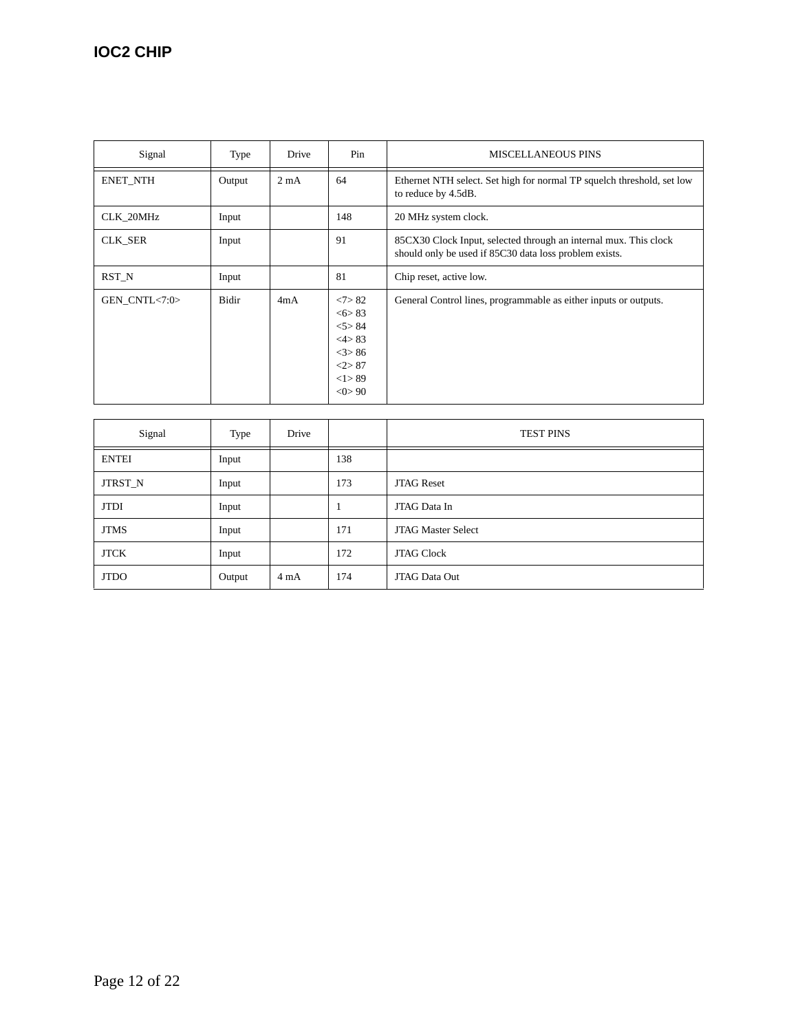| Signal          | Type   | Drive          | Pin                                                                   | <b>MISCELLANEOUS PINS</b>                                                                                                  |
|-----------------|--------|----------------|-----------------------------------------------------------------------|----------------------------------------------------------------------------------------------------------------------------|
| <b>ENET_NTH</b> | Output | $2 \text{ mA}$ | 64                                                                    | Ethernet NTH select. Set high for normal TP squelch threshold, set low<br>to reduce by 4.5dB.                              |
| CLK_20MHz       | Input  |                | 148                                                                   | 20 MHz system clock.                                                                                                       |
| CLK_SER         | Input  |                | 91                                                                    | 85CX30 Clock Input, selected through an internal mux. This clock<br>should only be used if 85C30 data loss problem exists. |
| RST N           | Input  |                | 81                                                                    | Chip reset, active low.                                                                                                    |
| GEN_CNTL<7:0>   | Bidir  | 4mA            | <7>82<br>5583<br>5 > 84<br><4>83<br>3 > 86<br><2>87<br><1>89<br><0>90 | General Control lines, programmable as either inputs or outputs.                                                           |

| Signal         | Type   | Drive          |     | <b>TEST PINS</b>          |
|----------------|--------|----------------|-----|---------------------------|
| <b>ENTEI</b>   | Input  |                | 138 |                           |
| <b>JTRST_N</b> | Input  |                | 173 | <b>JTAG Reset</b>         |
| <b>JTDI</b>    | Input  |                |     | JTAG Data In              |
| <b>JTMS</b>    | Input  |                | 171 | <b>JTAG Master Select</b> |
| <b>JTCK</b>    | Input  |                | 172 | <b>JTAG Clock</b>         |
| <b>JTDO</b>    | Output | $4 \text{ mA}$ | 174 | JTAG Data Out             |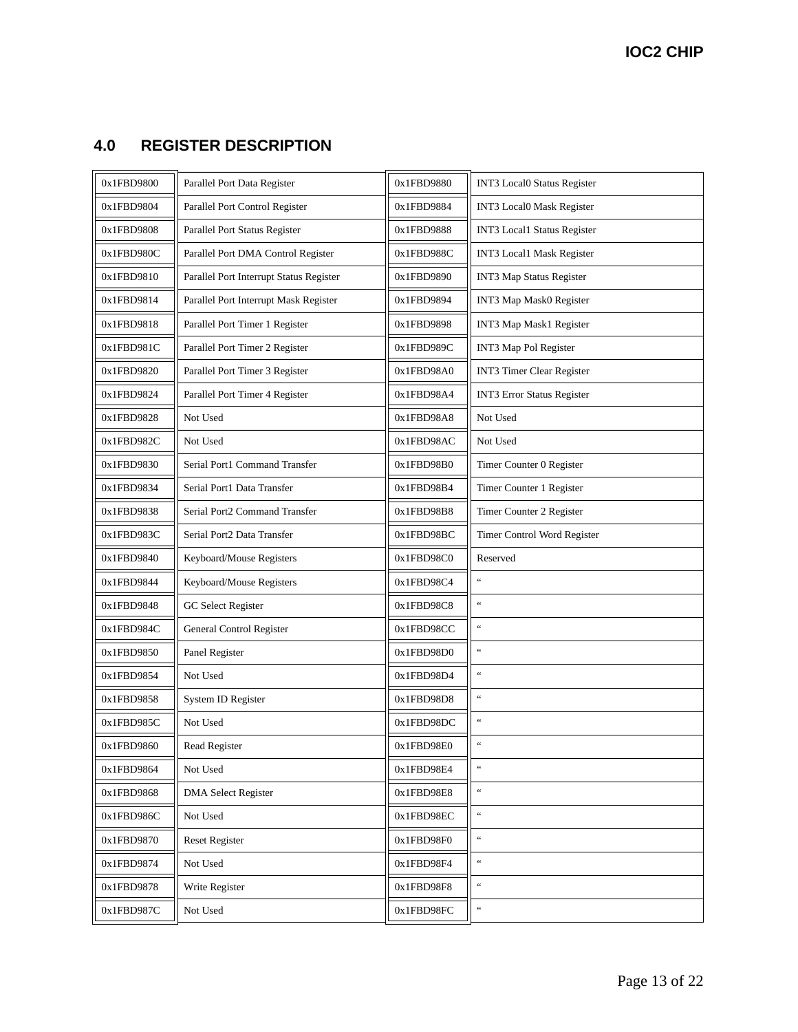# **4.0 REGISTER DESCRIPTION**

| 0x1FBD9800 | Parallel Port Data Register             | 0x1FBD9880 | INT3 Local0 Status Register                          |
|------------|-----------------------------------------|------------|------------------------------------------------------|
| 0x1FBD9804 | Parallel Port Control Register          | 0x1FBD9884 | INT3 Local0 Mask Register                            |
| 0x1FBD9808 | Parallel Port Status Register           | 0x1FBD9888 | INT3 Local1 Status Register                          |
| 0x1FBD980C | Parallel Port DMA Control Register      | 0x1FBD988C | INT3 Local1 Mask Register                            |
| 0x1FBD9810 | Parallel Port Interrupt Status Register | 0x1FBD9890 | INT3 Map Status Register                             |
| 0x1FBD9814 | Parallel Port Interrupt Mask Register   | 0x1FBD9894 | INT3 Map Mask0 Register                              |
| 0x1FBD9818 | Parallel Port Timer 1 Register          | 0x1FBD9898 | INT3 Map Mask1 Register                              |
| 0x1FBD981C | Parallel Port Timer 2 Register          | 0x1FBD989C | INT3 Map Pol Register                                |
| 0x1FBD9820 | Parallel Port Timer 3 Register          | 0x1FBD98A0 | <b>INT3 Timer Clear Register</b>                     |
| 0x1FBD9824 | Parallel Port Timer 4 Register          | 0x1FBD98A4 | <b>INT3 Error Status Register</b>                    |
| 0x1FBD9828 | Not Used                                | 0x1FBD98A8 | Not Used                                             |
| 0x1FBD982C | Not Used                                | 0x1FBD98AC | Not Used                                             |
| 0x1FBD9830 | Serial Port1 Command Transfer           | 0x1FBD98B0 | Timer Counter 0 Register                             |
| 0x1FBD9834 | Serial Port1 Data Transfer              | 0x1FBD98B4 | Timer Counter 1 Register                             |
| 0x1FBD9838 | Serial Port2 Command Transfer           | 0x1FBD98B8 | Timer Counter 2 Register                             |
| 0x1FBD983C | Serial Port2 Data Transfer              | 0x1FBD98BC | Timer Control Word Register                          |
| 0x1FBD9840 | Keyboard/Mouse Registers                | 0x1FBD98C0 | Reserved                                             |
| 0x1FBD9844 | Keyboard/Mouse Registers                | 0x1FBD98C4 | $\epsilon\,\epsilon$                                 |
| 0x1FBD9848 | <b>GC</b> Select Register               | 0x1FBD98C8 | $\epsilon\,\epsilon$                                 |
| 0x1FBD984C | <b>General Control Register</b>         | 0x1FBD98CC | $\overline{\mathfrak{c}}$                            |
| 0x1FBD9850 | Panel Register                          | 0x1FBD98D0 | $\epsilon\,\epsilon$                                 |
| 0x1FBD9854 | Not Used                                | 0x1FBD98D4 | $\overline{\mathfrak{c}}$                            |
| 0x1FBD9858 | System ID Register                      | 0x1FBD98D8 | $\epsilon\,\epsilon$                                 |
| 0x1FBD985C | Not Used                                | 0x1FBD98DC | $\epsilon\,\epsilon$                                 |
| 0x1FBD9860 | Read Register                           | 0x1FBD98E0 | $\epsilon\,\epsilon$                                 |
| 0x1FBD9864 | Not Used                                | 0x1FBD98E4 | $\boldsymbol{\varepsilon}\,\boldsymbol{\varepsilon}$ |
| 0x1FBD9868 | <b>DMA</b> Select Register              | 0x1FBD98E8 | $\boldsymbol{\varepsilon}\,\boldsymbol{\varepsilon}$ |
| 0x1FBD986C | Not Used                                | 0x1FBD98EC | $\overline{\mathfrak{c}}$                            |
| 0x1FBD9870 | <b>Reset Register</b>                   | 0x1FBD98F0 | $\boldsymbol{\varepsilon}\,\boldsymbol{\varepsilon}$ |
| 0x1FBD9874 | Not Used                                | 0x1FBD98F4 | $\overline{\mathfrak{c}}$                            |
| 0x1FBD9878 | Write Register                          | 0x1FBD98F8 | $\boldsymbol{\varepsilon}\,\boldsymbol{\varepsilon}$ |
| 0x1FBD987C | Not Used                                | 0x1FBD98FC | $\epsilon\,\epsilon$                                 |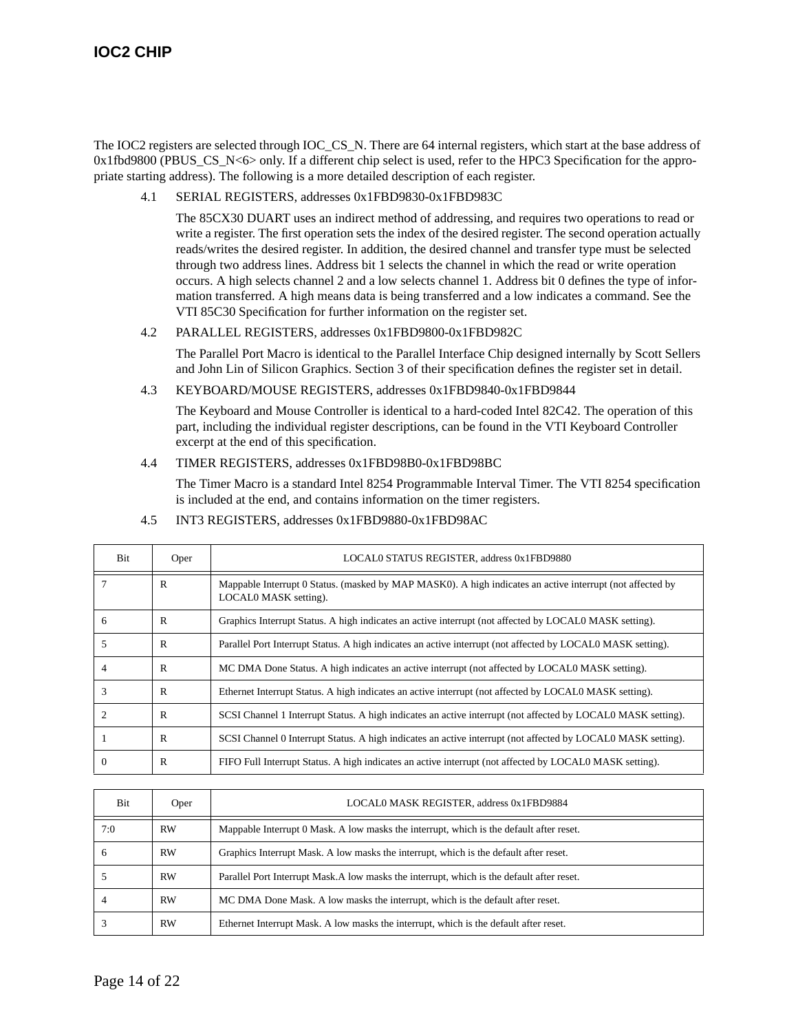The IOC2 registers are selected through IOC\_CS\_N. There are 64 internal registers, which start at the base address of  $0x1fbd9800$  (PBUS CS N<6> only. If a different chip select is used, refer to the HPC3 Specification for the appropriate starting address). The following is a more detailed description of each register.

4.1 SERIAL REGISTERS, addresses 0x1FBD9830-0x1FBD983C

The 85CX30 DUART uses an indirect method of addressing, and requires two operations to read or write a register. The first operation sets the index of the desired register. The second operation actually reads/writes the desired register. In addition, the desired channel and transfer type must be selected through two address lines. Address bit 1 selects the channel in which the read or write operation occurs. A high selects channel 2 and a low selects channel 1. Address bit 0 defines the type of information transferred. A high means data is being transferred and a low indicates a command. See the VTI 85C30 Specification for further information on the register set.

4.2 PARALLEL REGISTERS, addresses 0x1FBD9800-0x1FBD982C

The Parallel Port Macro is identical to the Parallel Interface Chip designed internally by Scott Sellers and John Lin of Silicon Graphics. Section 3 of their specification defines the register set in detail.

4.3 KEYBOARD/MOUSE REGISTERS, addresses 0x1FBD9840-0x1FBD9844

The Keyboard and Mouse Controller is identical to a hard-coded Intel 82C42. The operation of this part, including the individual register descriptions, can be found in the VTI Keyboard Controller excerpt at the end of this specification.

4.4 TIMER REGISTERS, addresses 0x1FBD98B0-0x1FBD98BC

The Timer Macro is a standard Intel 8254 Programmable Interval Timer. The VTI 8254 specification is included at the end, and contains information on the timer registers.

| <b>Bit</b> | Oper | LOCAL0 STATUS REGISTER, address 0x1FBD9880                                                                                         |
|------------|------|------------------------------------------------------------------------------------------------------------------------------------|
|            | R    | Mappable Interrupt 0 Status. (masked by MAP MASK0). A high indicates an active interrupt (not affected by<br>LOCALO MASK setting). |
| 6          | R    | Graphics Interrupt Status. A high indicates an active interrupt (not affected by LOCALO MASK setting).                             |
| 5          | R    | Parallel Port Interrupt Status. A high indicates an active interrupt (not affected by LOCALO MASK setting).                        |
| 4          | R    | MC DMA Done Status. A high indicates an active interrupt (not affected by LOCAL0 MASK setting).                                    |
|            | R    | Ethernet Interrupt Status. A high indicates an active interrupt (not affected by LOCALO MASK setting).                             |
|            | R    | SCSI Channel 1 Interrupt Status. A high indicates an active interrupt (not affected by LOCALO MASK setting).                       |
|            | R    | SCSI Channel 0 Interrupt Status. A high indicates an active interrupt (not affected by LOCAL0 MASK setting).                       |
| $\Omega$   | R    | FIFO Full Interrupt Status. A high indicates an active interrupt (not affected by LOCALO MASK setting).                            |

4.5 INT3 REGISTERS, addresses 0x1FBD9880-0x1FBD98AC

| <b>Bit</b> | Oper      | LOCAL0 MASK REGISTER, address 0x1FBD9884                                                   |
|------------|-----------|--------------------------------------------------------------------------------------------|
| 7:0        | <b>RW</b> | Mappable Interrupt 0 Mask. A low masks the interrupt, which is the default after reset.    |
| h          | <b>RW</b> | Graphics Interrupt Mask. A low masks the interrupt, which is the default after reset.      |
|            | <b>RW</b> | Parallel Port Interrupt Mask. A low masks the interrupt, which is the default after reset. |
|            | <b>RW</b> | MC DMA Done Mask. A low masks the interrupt, which is the default after reset.             |
|            | <b>RW</b> | Ethernet Interrupt Mask. A low masks the interrupt, which is the default after reset.      |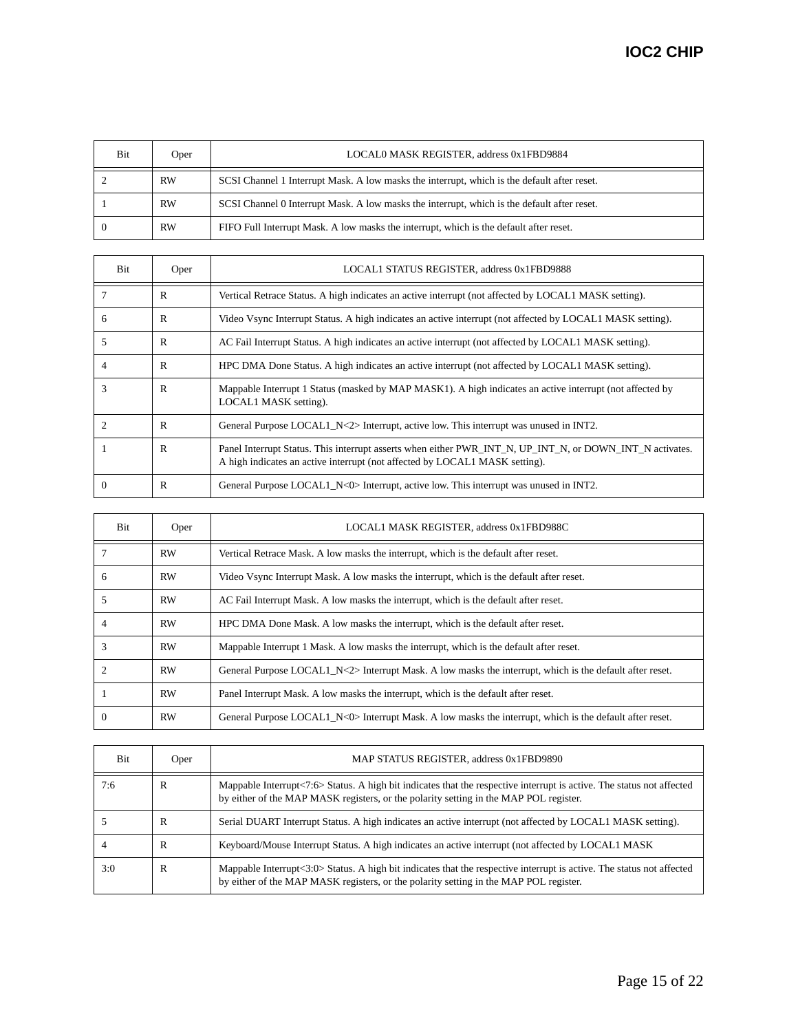| Bit | Oper      | LOCAL0 MASK REGISTER, address 0x1FBD9884                                                    |
|-----|-----------|---------------------------------------------------------------------------------------------|
|     | <b>RW</b> | SCSI Channel 1 Interrupt Mask. A low masks the interrupt, which is the default after reset. |
|     | <b>RW</b> | SCSI Channel 0 Interrupt Mask. A low masks the interrupt, which is the default after reset. |
|     | <b>RW</b> | FIFO Full Interrupt Mask. A low masks the interrupt, which is the default after reset.      |

| <b>Bit</b> | Oper | LOCAL1 STATUS REGISTER, address 0x1FBD9888                                                                                                                                              |
|------------|------|-----------------------------------------------------------------------------------------------------------------------------------------------------------------------------------------|
|            | R    | Vertical Retrace Status. A high indicates an active interrupt (not affected by LOCAL1 MASK setting).                                                                                    |
| 6          | R    | Video Vsync Interrupt Status. A high indicates an active interrupt (not affected by LOCAL1 MASK setting).                                                                               |
| 5          | R    | AC Fail Interrupt Status. A high indicates an active interrupt (not affected by LOCAL1 MASK setting).                                                                                   |
| 4          | R    | HPC DMA Done Status. A high indicates an active interrupt (not affected by LOCAL1 MASK setting).                                                                                        |
| 3          | R    | Mappable Interrupt 1 Status (masked by MAP MASK1). A high indicates an active interrupt (not affected by<br>LOCAL1 MASK setting).                                                       |
|            | R    | General Purpose LOCAL1 $N \ll 2$ Interrupt, active low. This interrupt was unused in INT2.                                                                                              |
|            | R    | Panel Interrupt Status. This interrupt asserts when either PWR_INT_N, UP_INT_N, or DOWN_INT_N activates.<br>A high indicates an active interrupt (not affected by LOCAL1 MASK setting). |
| $\Omega$   | R    | General Purpose LOCAL1 $N < 0$ Interrupt, active low. This interrupt was unused in INT2.                                                                                                |

| <b>Bit</b>                  | Oper      | LOCAL1 MASK REGISTER, address 0x1FBD988C                                                                 |
|-----------------------------|-----------|----------------------------------------------------------------------------------------------------------|
|                             | <b>RW</b> | Vertical Retrace Mask. A low masks the interrupt, which is the default after reset.                      |
| 6                           | <b>RW</b> | Video Vsync Interrupt Mask. A low masks the interrupt, which is the default after reset.                 |
| 5                           | <b>RW</b> | AC Fail Interrupt Mask. A low masks the interrupt, which is the default after reset.                     |
|                             | <b>RW</b> | HPC DMA Done Mask. A low masks the interrupt, which is the default after reset.                          |
|                             | <b>RW</b> | Mappable Interrupt 1 Mask. A low masks the interrupt, which is the default after reset.                  |
| $\mathcal{D}_{\mathcal{L}}$ | <b>RW</b> | General Purpose LOCAL1 N<2> Interrupt Mask. A low masks the interrupt, which is the default after reset. |
|                             | <b>RW</b> | Panel Interrupt Mask. A low masks the interrupt, which is the default after reset.                       |
|                             | <b>RW</b> | General Purpose LOCAL1_N<0> Interrupt Mask. A low masks the interrupt, which is the default after reset. |

| <b>Bit</b> | Oper | MAP STATUS REGISTER, address 0x1FBD9890                                                                                                                                                                        |
|------------|------|----------------------------------------------------------------------------------------------------------------------------------------------------------------------------------------------------------------|
| 7:6        | R    | Mappable Interrupt<7:6> Status. A high bit indicates that the respective interrupt is active. The status not affected<br>by either of the MAP MASK registers, or the polarity setting in the MAP POL register. |
|            | R    | Serial DUART Interrupt Status. A high indicates an active interrupt (not affected by LOCAL1 MASK setting).                                                                                                     |
|            | R    | Keyboard/Mouse Interrupt Status. A high indicates an active interrupt (not affected by LOCAL1 MASK                                                                                                             |
| 3:0        | R    | Mappable Interrupt<3:0> Status. A high bit indicates that the respective interrupt is active. The status not affected<br>by either of the MAP MASK registers, or the polarity setting in the MAP POL register. |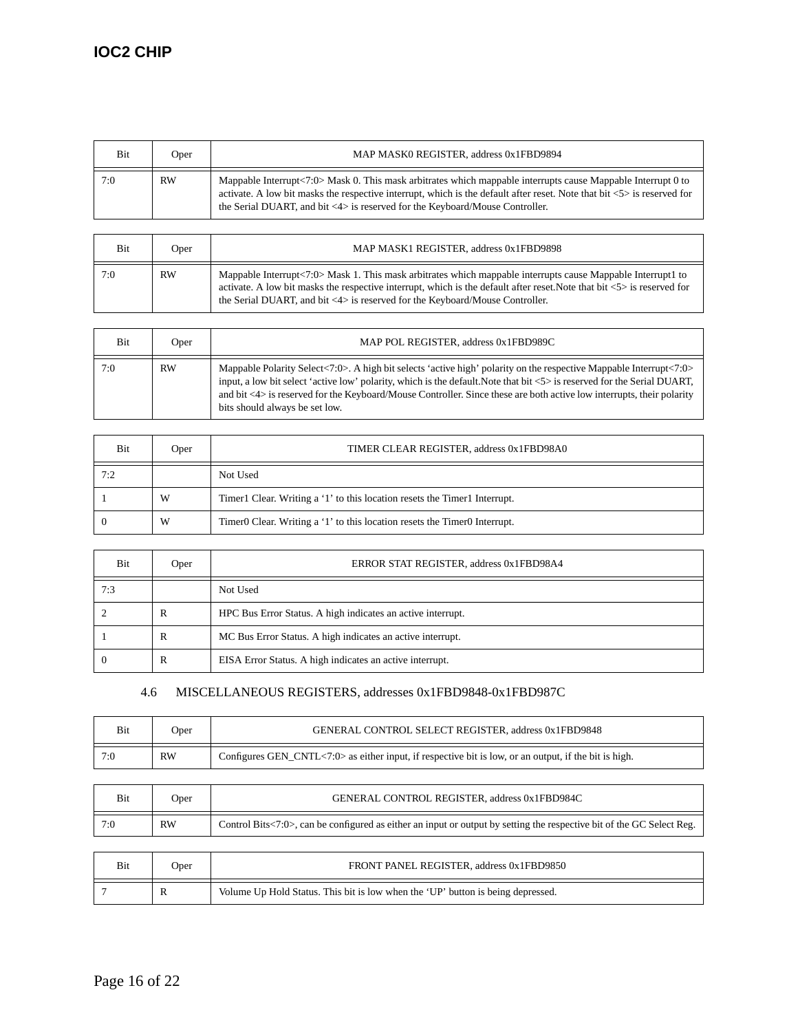| Bit | Oper      | MAP MASK0 REGISTER, address 0x1FBD9894                                                                                                                                                                                                                                                                                                                  |
|-----|-----------|---------------------------------------------------------------------------------------------------------------------------------------------------------------------------------------------------------------------------------------------------------------------------------------------------------------------------------------------------------|
| 7:0 | <b>RW</b> | Mappable Interrupt<7:0> Mask 0. This mask arbitrates which mappable interrupts cause Mappable Interrupt 0 to<br>activate. A low bit masks the respective interrupt, which is the default after reset. Note that bit $\langle 5 \rangle$ is reserved for<br>the Serial DUART, and bit $\langle 4 \rangle$ is reserved for the Keyboard/Mouse Controller. |

| <b>Bit</b> | Oper      | MAP MASK1 REGISTER, address 0x1FBD9898                                                                                                                                                                                                                                                                                                                 |
|------------|-----------|--------------------------------------------------------------------------------------------------------------------------------------------------------------------------------------------------------------------------------------------------------------------------------------------------------------------------------------------------------|
| 7:0        | <b>RW</b> | Mappable Interrupt<7:0> Mask 1. This mask arbitrates which mappable interrupts cause Mappable Interrupt1 to<br>activate. A low bit masks the respective interrupt, which is the default after reset. Note that bit $\langle 5 \rangle$ is reserved for<br>the Serial DUART, and bit $\langle 4 \rangle$ is reserved for the Keyboard/Mouse Controller. |

| Bit | Oper      | MAP POL REGISTER, address 0x1FBD989C                                                                                                                                                                                                                                                                                                                                                                                      |
|-----|-----------|---------------------------------------------------------------------------------------------------------------------------------------------------------------------------------------------------------------------------------------------------------------------------------------------------------------------------------------------------------------------------------------------------------------------------|
| 7:0 | <b>RW</b> | Mappable Polarity Select<7:0>. A high bit selects 'active high' polarity on the respective Mappable Interrupt<7:0><br>input, a low bit select 'active low' polarity, which is the default. Note that bit <5> is reserved for the Serial DUART,<br>and bit $\langle 4 \rangle$ is reserved for the Keyboard/Mouse Controller. Since these are both active low interrupts, their polarity<br>bits should always be set low. |

| Bit | Oper | TIMER CLEAR REGISTER, address 0x1FBD98A0                                                          |
|-----|------|---------------------------------------------------------------------------------------------------|
| 7:2 |      | Not Used                                                                                          |
|     | W    | Timer1 Clear. Writing a '1' to this location resets the Timer1 Interrupt.                         |
|     | W    | Timer <sub>0</sub> Clear. Writing a '1' to this location resets the Timer <sub>0</sub> Interrupt. |

| Bit | Oper         | ERROR STAT REGISTER, address 0x1FBD98A4                     |
|-----|--------------|-------------------------------------------------------------|
| 7:3 |              | Not Used                                                    |
|     | R            | HPC Bus Error Status. A high indicates an active interrupt. |
|     | $\mathbb{R}$ | MC Bus Error Status. A high indicates an active interrupt.  |
|     | R            | EISA Error Status. A high indicates an active interrupt.    |

## 4.6 MISCELLANEOUS REGISTERS, addresses 0x1FBD9848-0x1FBD987C

| Bit | Oper      | GENERAL CONTROL SELECT REGISTER, address 0x1FBD9848                                                   |
|-----|-----------|-------------------------------------------------------------------------------------------------------|
| 7:0 | <b>RW</b> | Configures GEN_CNTL<7:0> as either input, if respective bit is low, or an output, if the bit is high. |

| Bit | Oper      | GENERAL CONTROL REGISTER. address 0x1FBD984C                                                                          |
|-----|-----------|-----------------------------------------------------------------------------------------------------------------------|
| 7:0 | <b>RW</b> | Control Bits<7:0>, can be configured as either an input or output by setting the respective bit of the GC Select Reg. |

| Bit | Oper | FRONT PANEL REGISTER. address 0x1FBD9850                                        |
|-----|------|---------------------------------------------------------------------------------|
|     | R    | Volume Up Hold Status. This bit is low when the 'UP' button is being depressed. |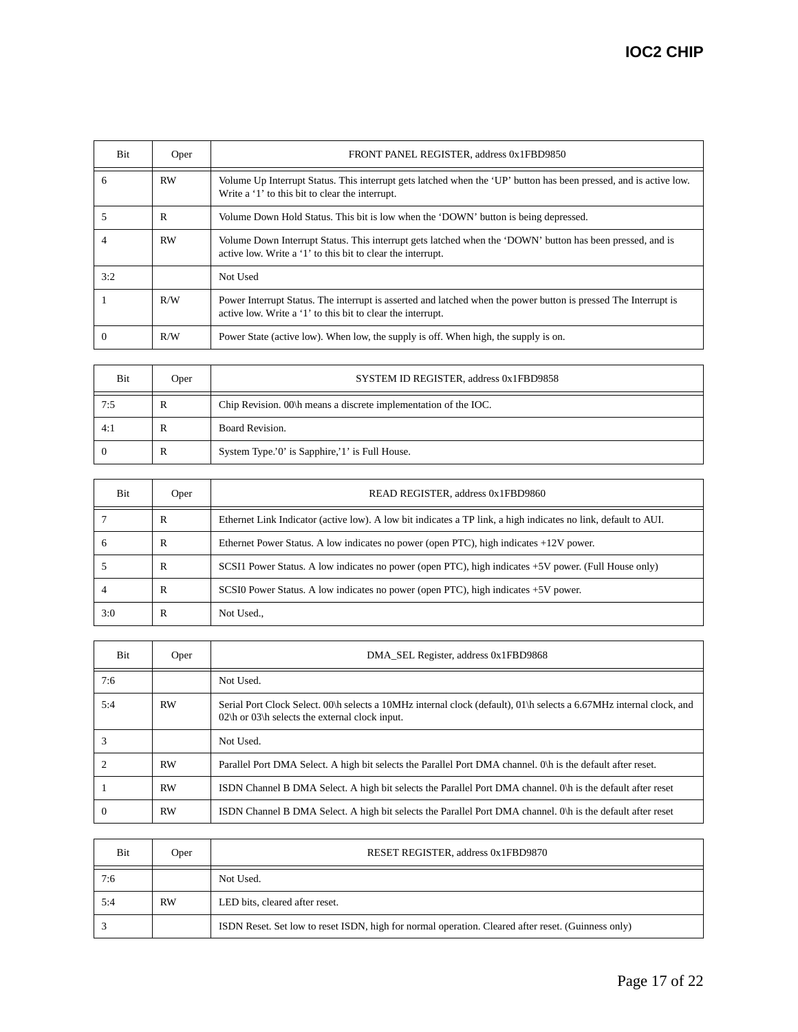| Bit      | Oper      | FRONT PANEL REGISTER, address 0x1FBD9850                                                                                                                                       |
|----------|-----------|--------------------------------------------------------------------------------------------------------------------------------------------------------------------------------|
| 6        | <b>RW</b> | Volume Up Interrupt Status. This interrupt gets latched when the 'UP' button has been pressed, and is active low.<br>Write a '1' to this bit to clear the interrupt.           |
|          | R         | Volume Down Hold Status. This bit is low when the 'DOWN' button is being depressed.                                                                                            |
|          | <b>RW</b> | Volume Down Interrupt Status. This interrupt gets latched when the 'DOWN' button has been pressed, and is<br>active low. Write a '1' to this bit to clear the interrupt.       |
| 3:2      |           | Not Used                                                                                                                                                                       |
|          | R/W       | Power Interrupt Status. The interrupt is asserted and latched when the power button is pressed The Interrupt is<br>active low. Write a '1' to this bit to clear the interrupt. |
| $\Omega$ | R/W       | Power State (active low). When low, the supply is off. When high, the supply is on.                                                                                            |

| Bit | Oper | SYSTEM ID REGISTER, address 0x1FBD9858                          |
|-----|------|-----------------------------------------------------------------|
| 7:5 | R    | Chip Revision. 00\h means a discrete implementation of the IOC. |
| 4:1 | R    | Board Revision.                                                 |
|     | R    | System Type.'0' is Sapphire,'1' is Full House.                  |

| Bit          | Oper | READ REGISTER, address 0x1FBD9860                                                                              |
|--------------|------|----------------------------------------------------------------------------------------------------------------|
|              | R    | Ethernet Link Indicator (active low). A low bit indicates a TP link, a high indicates no link, default to AUI. |
| <sub>6</sub> | R    | Ethernet Power Status. A low indicates no power (open PTC), high indicates $+12V$ power.                       |
|              | R    | SCSI1 Power Status. A low indicates no power (open PTC), high indicates +5V power. (Full House only)           |
|              | R    | SCSI0 Power Status. A low indicates no power (open PTC), high indicates +5V power.                             |
| 3:0          | R    | Not Used.,                                                                                                     |

| Bit      | Oper      | DMA SEL Register, address 0x1FBD9868                                                                                                                                                  |
|----------|-----------|---------------------------------------------------------------------------------------------------------------------------------------------------------------------------------------|
| 7:6      |           | Not Used.                                                                                                                                                                             |
| 5:4      | <b>RW</b> | Serial Port Clock Select. 00\h selects a 10MHz internal clock (default), 01\h selects a 6.67MHz internal clock, and<br>$02\hbox{h}$ or $03\hbox{h}$ selects the external clock input. |
|          |           | Not Used.                                                                                                                                                                             |
|          | <b>RW</b> | Parallel Port DMA Select. A high bit selects the Parallel Port DMA channel. Oh is the default after reset.                                                                            |
|          | <b>RW</b> | ISDN Channel B DMA Select. A high bit selects the Parallel Port DMA channel. Oh is the default after reset                                                                            |
| $\theta$ | <b>RW</b> | ISDN Channel B DMA Select. A high bit selects the Parallel Port DMA channel. Oh is the default after reset                                                                            |

| Bit | Oper      | RESET REGISTER, address 0x1FBD9870                                                                 |
|-----|-----------|----------------------------------------------------------------------------------------------------|
| 7:6 |           | Not Used.                                                                                          |
| 5:4 | <b>RW</b> | LED bits, cleared after reset.                                                                     |
|     |           | ISDN Reset. Set low to reset ISDN, high for normal operation. Cleared after reset. (Guinness only) |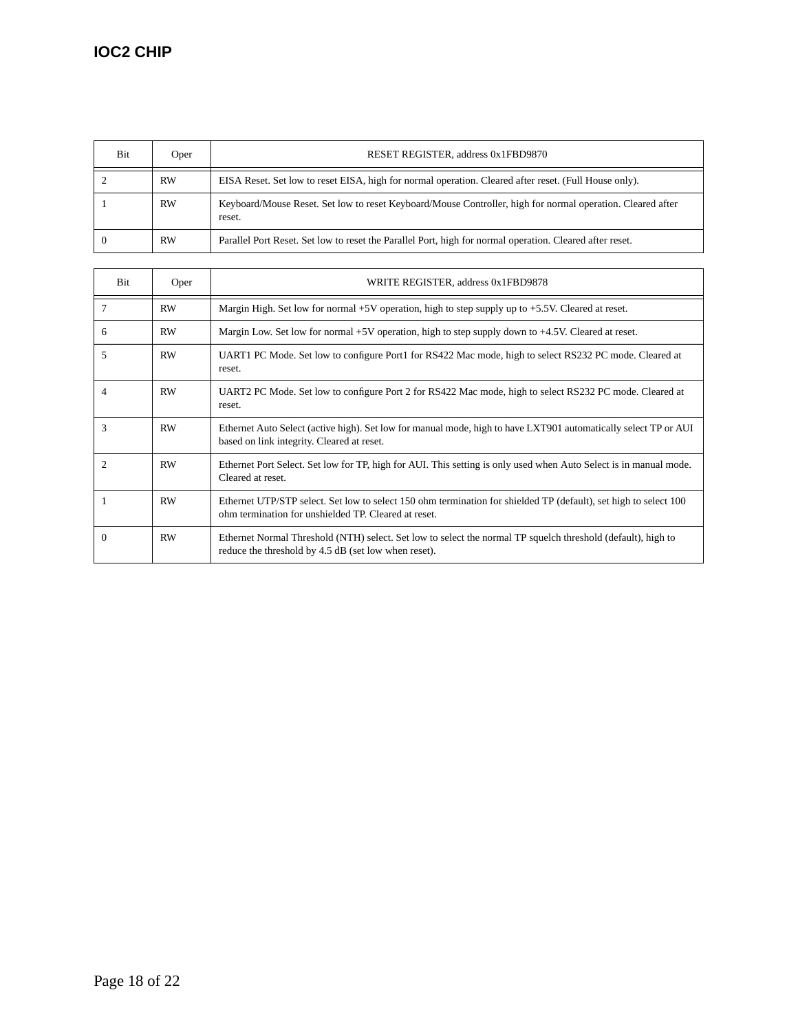| Bit | Oper      | RESET REGISTER, address 0x1FBD9870                                                                                   |
|-----|-----------|----------------------------------------------------------------------------------------------------------------------|
|     | <b>RW</b> | EISA Reset. Set low to reset EISA, high for normal operation. Cleared after reset. (Full House only).                |
|     | <b>RW</b> | Keyboard/Mouse Reset. Set low to reset Keyboard/Mouse Controller, high for normal operation. Cleared after<br>reset. |
|     | <b>RW</b> | Parallel Port Reset. Set low to reset the Parallel Port, high for normal operation. Cleared after reset.             |

| <b>Bit</b>     | Oper      | WRITE REGISTER, address 0x1FBD9878                                                                                                                                       |
|----------------|-----------|--------------------------------------------------------------------------------------------------------------------------------------------------------------------------|
| 7              | RW        | Margin High. Set low for normal $+5V$ operation, high to step supply up to $+5.5V$ . Cleared at reset.                                                                   |
| 6              | <b>RW</b> | Margin Low. Set low for normal +5V operation, high to step supply down to +4.5V. Cleared at reset.                                                                       |
| 5              | RW        | UART1 PC Mode. Set low to configure Port1 for RS422 Mac mode, high to select RS232 PC mode. Cleared at<br>reset.                                                         |
| 4              | RW        | UART2 PC Mode. Set low to configure Port 2 for RS422 Mac mode, high to select RS232 PC mode. Cleared at<br>reset.                                                        |
| 3              | RW        | Ethernet Auto Select (active high). Set low for manual mode, high to have LXT901 automatically select TP or AUI<br>based on link integrity. Cleared at reset.            |
| $\overline{c}$ | <b>RW</b> | Ethernet Port Select. Set low for TP, high for AUI. This setting is only used when Auto Select is in manual mode.<br>Cleared at reset.                                   |
|                | RW        | Ethernet UTP/STP select. Set low to select 150 ohm termination for shielded TP (default), set high to select 100<br>ohm termination for unshielded TP. Cleared at reset. |
| $\Omega$       | RW        | Ethernet Normal Threshold (NTH) select. Set low to select the normal TP squelch threshold (default), high to<br>reduce the threshold by 4.5 dB (set low when reset).     |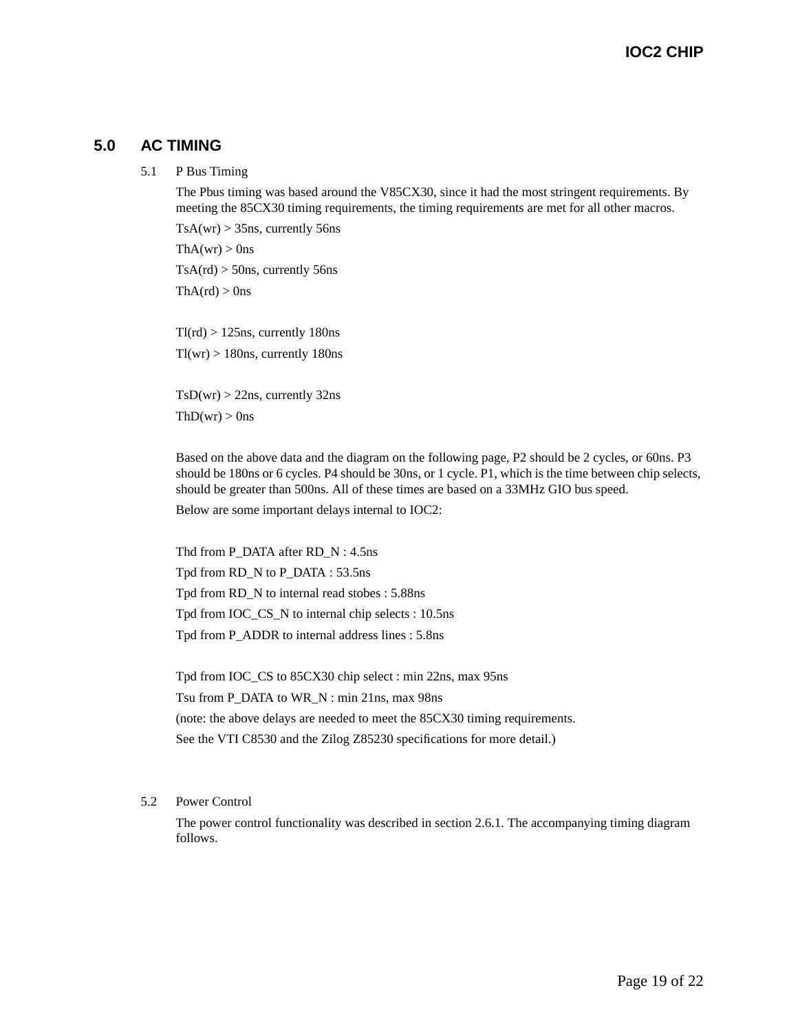### **5.0 AC TIMING**

5.1 P Bus Timing

The Pbus timing was based around the V85CX30, since it had the most stringent requirements. By meeting the 85CX30 timing requirements, the timing requirements are met for all other macros.

 $TsA(wr) > 35$ ns, currently 56ns  $ThA(wr) > 0$ ns  $TsA(rd) > 50$ ns, currently 56ns

 $ThA(rd) > 0$ ns

 $Tl(rd) > 125$ ns, currently 180ns  $Tl(wr) > 180$ ns, currently 180ns

 $TsD(wr) > 22ns$ , currently 32ns  $ThD(wr) > 0$ ns

Based on the above data and the diagram on the following page, P2 should be 2 cycles, or 60ns. P3 should be 180ns or 6 cycles. P4 should be 30ns, or 1 cycle. P1, which is the time between chip selects, should be greater than 500ns. All of these times are based on a 33MHz GIO bus speed.

Below are some important delays internal to IOC2:

Thd from P\_DATA after RD\_N : 4.5ns Tpd from RD\_N to P\_DATA : 53.5ns Tpd from RD\_N to internal read stobes : 5.88ns Tpd from IOC\_CS\_N to internal chip selects : 10.5ns Tpd from P\_ADDR to internal address lines : 5.8ns

Tpd from IOC\_CS to 85CX30 chip select : min 22ns, max 95ns Tsu from P\_DATA to WR\_N : min 21ns, max 98ns (note: the above delays are needed to meet the 85CX30 timing requirements. See the VTI C8530 and the Zilog Z85230 specifications for more detail.)

#### 5.2 Power Control

The power control functionality was described in section 2.6.1. The accompanying timing diagram follows.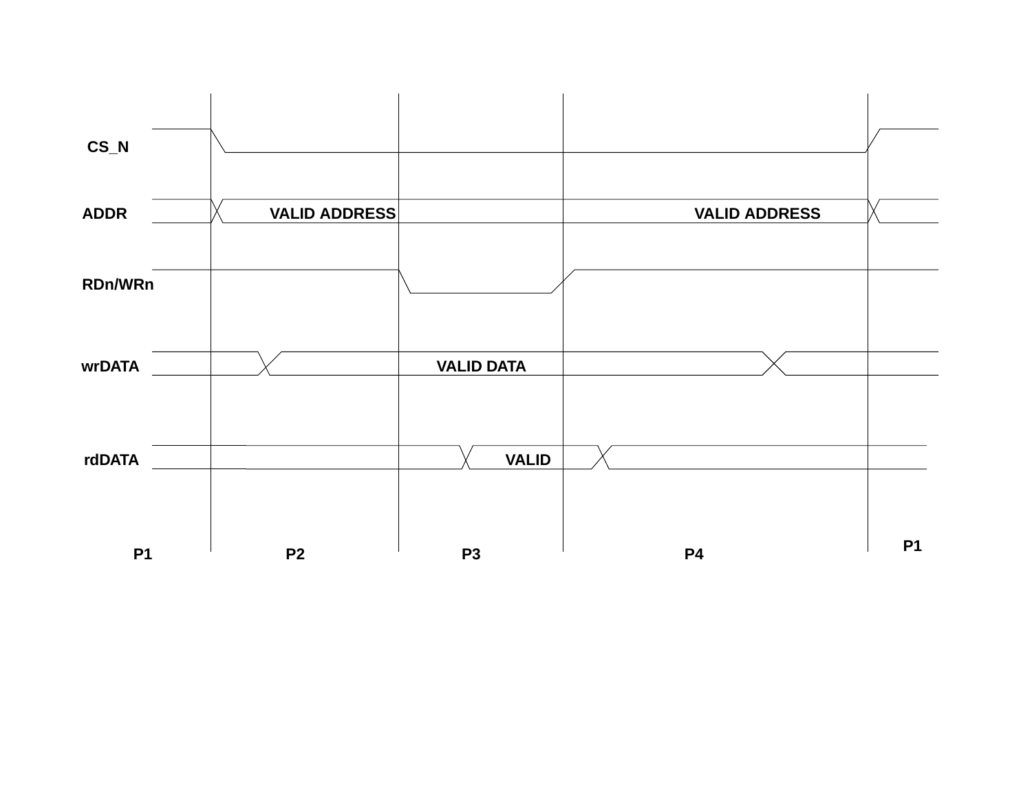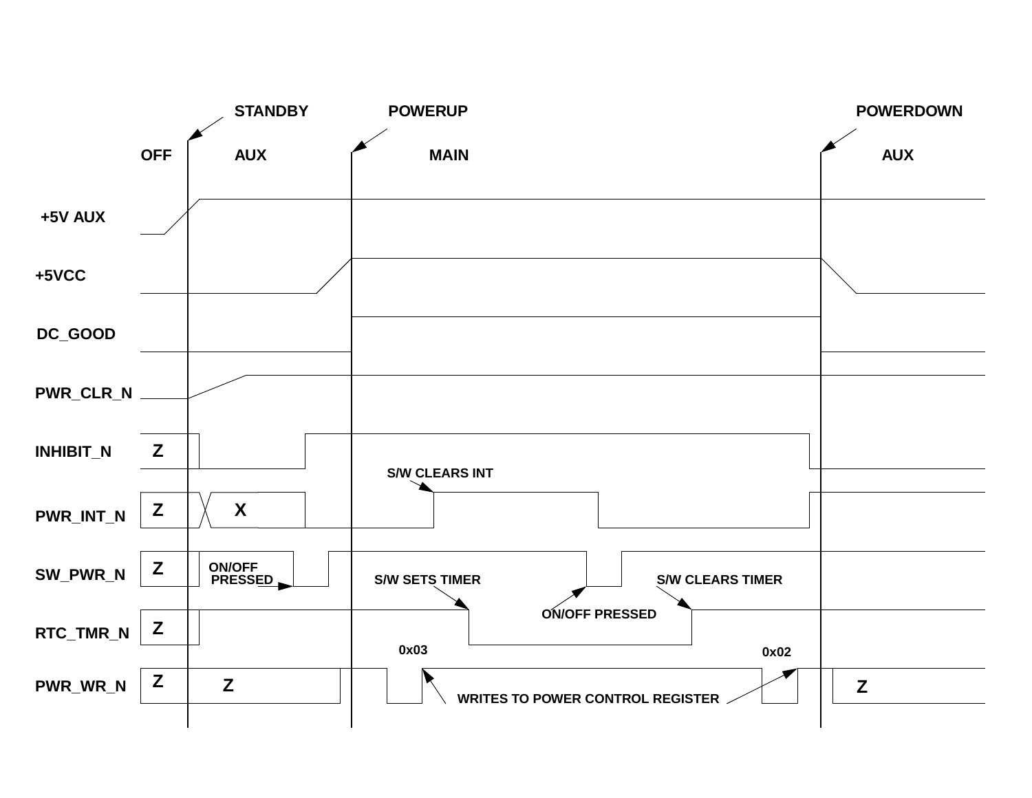